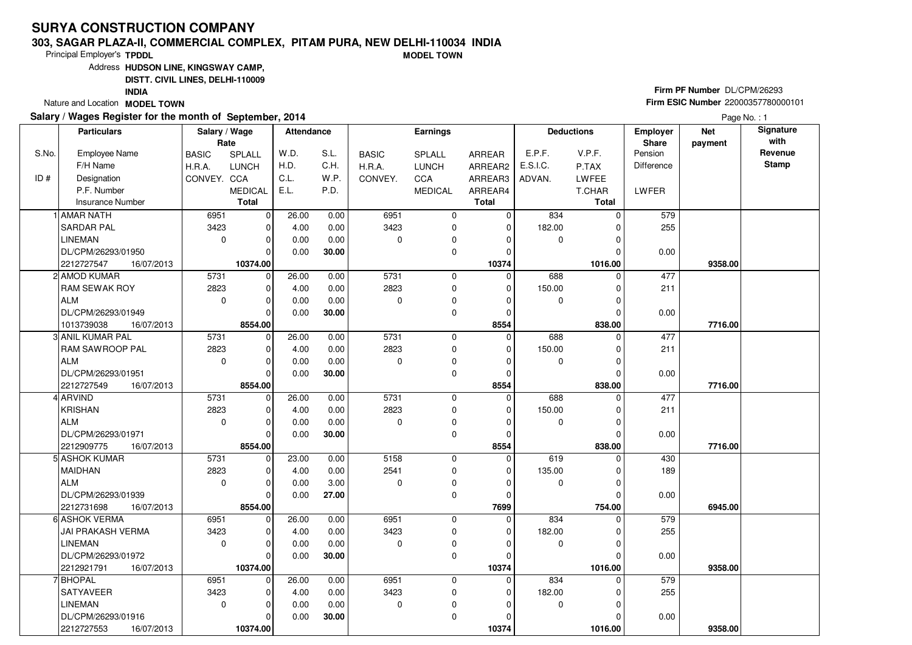#### **303, SAGAR PLAZA-II, COMMERCIAL COMPLEX, PITAM PURA, NEW DELHI-110034 INDIAMODEL TOWN**

Principal Employer's**TPDDL**

Address**HUDSON LINE, KINGSWAY CAMP,**

**DISTT. CIVIL LINES, DELHI-110009**

**INDIA**

Nature and Location **MODEL TOWN** 

### **Salary / Wages Register for the month of September, 2014**

# **Firm PF Number** DL/CPM/26293 **Firm ESIC Number** <sup>22000357780000101</sup>

|       | <b>Particulars</b>                               | Salary / Wage<br>Rate |                        | <b>Attendance</b> |       |              | <b>Earnings</b> |              |             | <b>Deductions</b> | <b>Employer</b><br><b>Share</b> | <b>Net</b><br>payment | Signature<br>with |
|-------|--------------------------------------------------|-----------------------|------------------------|-------------------|-------|--------------|-----------------|--------------|-------------|-------------------|---------------------------------|-----------------------|-------------------|
| S.No. | Employee Name                                    | <b>BASIC</b>          | <b>SPLALL</b>          | W.D.              | S.L.  | <b>BASIC</b> | <b>SPLALL</b>   | ARREAR       | E.P.F.      | V.P.F.            | Pension                         |                       | Revenue           |
|       | F/H Name                                         | H.R.A.                | <b>LUNCH</b>           | H.D.              | C.H.  | H.R.A.       | <b>LUNCH</b>    | ARREAR2      | E.S.I.C.    | P.TAX             | Difference                      |                       | <b>Stamp</b>      |
| ID#   | Designation                                      | CONVEY. CCA           |                        | C.L.              | W.P.  | CONVEY.      | <b>CCA</b>      | ARREAR3      | ADVAN.      | LWFEE             |                                 |                       |                   |
|       | P.F. Number                                      |                       | <b>MEDICAL</b>         | E.L.              | P.D.  |              | <b>MEDICAL</b>  | ARREAR4      |             | T.CHAR            | LWFER                           |                       |                   |
|       | <b>Insurance Number</b>                          |                       | <b>Total</b>           |                   |       |              |                 | <b>Total</b> |             | Total             |                                 |                       |                   |
|       | 1 AMAR NATH                                      | 6951                  | $\mathbf 0$            | 26.00             | 0.00  | 6951         | 0               | 0            | 834         | $\Omega$          | 579                             |                       |                   |
|       | <b>SARDAR PAL</b>                                | 3423                  | $\mathbf 0$            | 4.00              | 0.00  | 3423         | 0               | $\mathbf 0$  | 182.00      | $\Omega$          | 255                             |                       |                   |
|       | LINEMAN                                          | $\mathbf{0}$          | $\Omega$               | 0.00              | 0.00  | $\Omega$     | 0               | $\Omega$     | 0           | $\Omega$          |                                 |                       |                   |
|       | DL/CPM/26293/01950                               |                       | $\Omega$               | 0.00              | 30.00 |              | 0               | 0            |             |                   | 0.00                            |                       |                   |
|       | 2212727547<br>16/07/2013                         |                       | 10374.00               |                   |       |              |                 | 10374        |             | 1016.00           |                                 | 9358.00               |                   |
|       | 2 AMOD KUMAR                                     | 5731                  | $\mathbf 0$            | 26.00             | 0.00  | 5731         | 0               | $\mathbf 0$  | 688         | $\Omega$          | 477                             |                       |                   |
|       | <b>RAM SEWAK ROY</b>                             | 2823                  | $\mathbf 0$            | 4.00              | 0.00  | 2823         | 0               | $\mathbf 0$  | 150.00      | $\Omega$          | 211                             |                       |                   |
|       | ALM                                              | $\mathbf 0$           | $\Omega$               | 0.00              | 0.00  | 0            | 0               | $\Omega$     | 0           | $\Omega$          |                                 |                       |                   |
|       | DL/CPM/26293/01949                               |                       | $\Omega$               | 0.00              | 30.00 |              | 0               | $\mathbf 0$  |             | $\Omega$          | 0.00                            |                       |                   |
|       | 1013739038<br>16/07/2013                         |                       | 8554.00                |                   |       |              |                 | 8554         |             | 838.00            |                                 | 7716.00               |                   |
|       | 3 ANIL KUMAR PAL                                 | 5731                  | $\mathbf 0$            | 26.00             | 0.00  | 5731         | 0               | $\mathbf 0$  | 688         | $\Omega$          | 477                             |                       |                   |
|       | <b>RAM SAWROOP PAL</b>                           | 2823                  | $\mathbf 0$            | 4.00              | 0.00  | 2823         | $\mathbf 0$     | $\Omega$     | 150.00      | $\Omega$          | 211                             |                       |                   |
|       | ALM                                              | $\mathbf 0$           | $\mathbf 0$            | 0.00              | 0.00  | 0            | 0               | 0            | 0           | $\Omega$          |                                 |                       |                   |
|       | DL/CPM/26293/01951                               |                       | $\Omega$               | 0.00              | 30.00 |              | $\mathbf 0$     | $\mathbf 0$  |             |                   | 0.00                            |                       |                   |
|       | 2212727549<br>16/07/2013                         |                       | 8554.00                |                   |       |              |                 | 8554         |             | 838.00            |                                 | 7716.00               |                   |
|       | 4 ARVIND                                         | 5731                  | $\mathbf 0$            | 26.00             | 0.00  | 5731         | 0               | $\mathbf 0$  | 688         | $\Omega$          | 477                             |                       |                   |
|       | KRISHAN                                          | 2823                  | $\Omega$               | 4.00              | 0.00  | 2823         | 0               | $\Omega$     | 150.00      | $\Omega$          | 211                             |                       |                   |
|       | <b>ALM</b>                                       | $\mathbf 0$           | $\Omega$               | 0.00              | 0.00  | $\mathbf 0$  | 0               | $\Omega$     | 0           | $\Omega$          |                                 |                       |                   |
|       | DL/CPM/26293/01971                               |                       | $\Omega$               | 0.00              | 30.00 |              | $\mathbf 0$     | $\Omega$     |             | $\Omega$          | 0.00                            |                       |                   |
|       | 2212909775<br>16/07/2013<br><b>5 ASHOK KUMAR</b> | 5731                  | 8554.00<br>$\mathbf 0$ | 23.00             | 0.00  | 5158         | $\mathbf 0$     | 8554<br>0    | 619         | 838.00            | 430                             | 7716.00               |                   |
|       | MAIDHAN                                          | 2823                  | $\Omega$               | 4.00              | 0.00  | 2541         | 0               | $\Omega$     | 135.00      | $\Omega$          | 189                             |                       |                   |
|       | ALM                                              | $\mathbf 0$           | $\mathbf 0$            | 0.00              | 3.00  | $\Omega$     | 0               | 0            | $\mathbf 0$ | $\Omega$          |                                 |                       |                   |
|       | DL/CPM/26293/01939                               |                       | $\Omega$               | 0.00              | 27.00 |              | $\mathbf 0$     | $\Omega$     |             | $\Omega$          | 0.00                            |                       |                   |
|       | 2212731698<br>16/07/2013                         |                       | 8554.00                |                   |       |              |                 | 7699         |             | 754.00            |                                 | 6945.00               |                   |
|       | 6 ASHOK VERMA                                    | 6951                  | $\mathbf 0$            | 26.00             | 0.00  | 6951         | $\mathbf 0$     | $\Omega$     | 834         | $\Omega$          | 579                             |                       |                   |
|       | JAI PRAKASH VERMA                                | 3423                  | $\mathbf 0$            | 4.00              | 0.00  | 3423         | 0               | 0            | 182.00      | $\Omega$          | 255                             |                       |                   |
|       | <b>LINEMAN</b>                                   | $\mathbf 0$           | $\Omega$               | 0.00              | 0.00  | $\Omega$     | 0               | $\Omega$     | $\mathbf 0$ |                   |                                 |                       |                   |
|       | DL/CPM/26293/01972                               |                       | $\Omega$               | 0.00              | 30.00 |              | 0               | $\Omega$     |             | $\Omega$          | 0.00                            |                       |                   |
|       | 2212921791<br>16/07/2013                         |                       | 10374.00               |                   |       |              |                 | 10374        |             | 1016.00           |                                 | 9358.00               |                   |
|       | 7 BHOPAL                                         | 6951                  | $\Omega$               | 26.00             | 0.00  | 6951         | $\mathbf 0$     | $\Omega$     | 834         | $\Omega$          | 579                             |                       |                   |
|       | <b>SATYAVEER</b>                                 | 3423                  | $\mathbf 0$            | 4.00              | 0.00  | 3423         | 0               | 0            | 182.00      |                   | 255                             |                       |                   |
|       | <b>LINEMAN</b>                                   | $\mathbf 0$           | $\Omega$               | 0.00              | 0.00  | $\mathbf 0$  | 0               | $\Omega$     | 0           | $\Omega$          |                                 |                       |                   |
|       | DL/CPM/26293/01916                               |                       | $\mathbf 0$            | 0.00              | 30.00 |              | 0               | $\Omega$     |             | $\Omega$          | 0.00                            |                       |                   |
|       | 2212727553<br>16/07/2013                         |                       | 10374.00               |                   |       |              |                 | 10374        |             | 1016.00           |                                 | 9358.00               |                   |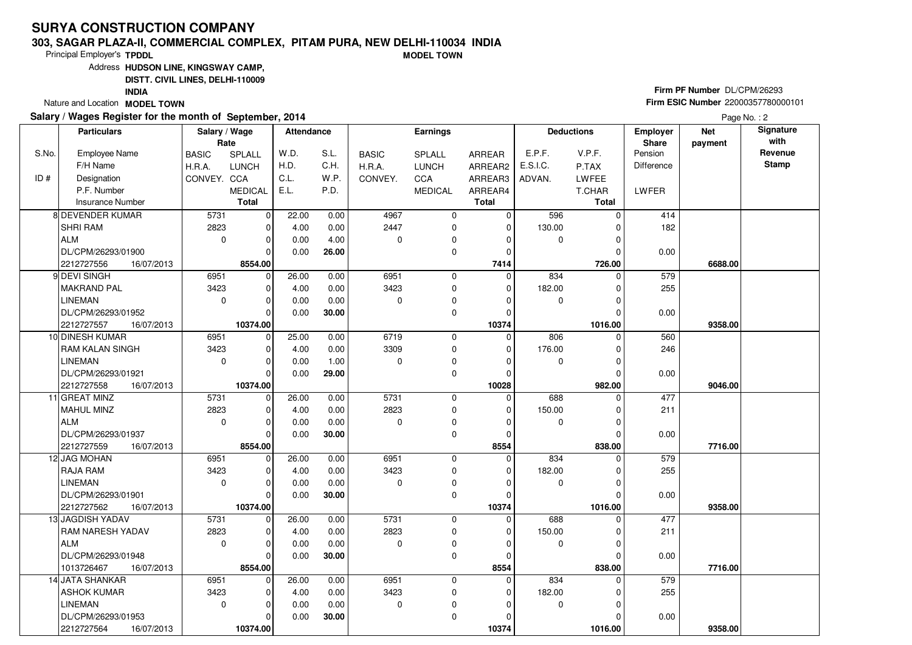#### **303, SAGAR PLAZA-II, COMMERCIAL COMPLEX, PITAM PURA, NEW DELHI-110034 INDIAMODEL TOWN**

Principal Employer's**TPDDL**

Address**HUDSON LINE, KINGSWAY CAMP,**

**DISTT. CIVIL LINES, DELHI-110009**

**INDIA**

Nature and Location **MODEL TOWN** 

## **Salary / Wages Register for the month of September, 2014**

# **Firm PF Number** DL/CPM/26293 **Firm ESIC Number** <sup>22000357780000101</sup>

|       | <b>Particulars</b>                           | Salary / Wage<br>Rate |                         | <b>Attendance</b> |               |              | <b>Earnings</b>  |                   |               | <b>Deductions</b> | Employer<br>Share | <b>Net</b><br>payment | Signature<br>with |
|-------|----------------------------------------------|-----------------------|-------------------------|-------------------|---------------|--------------|------------------|-------------------|---------------|-------------------|-------------------|-----------------------|-------------------|
| S.No. | <b>Employee Name</b>                         | <b>BASIC</b>          | SPLALL                  | W.D.              | S.L.          | <b>BASIC</b> | SPLALL           | ARREAR            | E.P.F.        | V.P.F.            | Pension           |                       | Revenue           |
|       | F/H Name                                     | H.R.A.                | <b>LUNCH</b>            | H.D.              | C.H.          | H.R.A.       | <b>LUNCH</b>     | ARREAR2           | E.S.I.C.      | P.TAX             | Difference        |                       | <b>Stamp</b>      |
| ID#   | Designation                                  | CONVEY. CCA           |                         | C.L.              | W.P.          | CONVEY.      | CCA              | ARREAR3           | ADVAN.        | <b>LWFEE</b>      |                   |                       |                   |
|       | P.F. Number                                  |                       | <b>MEDICAL</b>          | E.L.              | P.D.          |              | <b>MEDICAL</b>   | ARREAR4           |               | T.CHAR            | LWFER             |                       |                   |
|       | <b>Insurance Number</b>                      |                       | <b>Total</b>            |                   |               |              |                  | <b>Total</b>      |               | <b>Total</b>      |                   |                       |                   |
|       | 8 DEVENDER KUMAR                             | 5731                  | 0                       | 22.00             | 0.00          | 4967         | 0                | 0                 | 596           | 0                 | 414               |                       |                   |
|       | <b>SHRI RAM</b>                              | 2823                  | $\mathbf 0$             | 4.00              | 0.00          | 2447         | 0                | $\mathbf 0$       | 130.00        | $\Omega$          | 182               |                       |                   |
|       | ALM                                          | $\mathbf 0$           | $\mathbf 0$             | 0.00              | 4.00          | $\Omega$     | 0                | $\Omega$          | 0             | 0                 |                   |                       |                   |
|       | DL/CPM/26293/01900                           |                       | $\Omega$                | 0.00              | 26.00         |              | $\mathbf 0$      | $\mathbf 0$       |               | 0                 | 0.00              |                       |                   |
|       | 2212727556<br>16/07/2013                     |                       | 8554.00                 |                   |               |              |                  | 7414              |               | 726.00            |                   | 6688.00               |                   |
|       | 9 DEVI SINGH                                 | 6951                  | 0                       | 26.00             | 0.00          | 6951         | $\mathbf 0$      | $\Omega$          | 834           | $\Omega$          | 579               |                       |                   |
|       | <b>MAKRAND PAL</b>                           | 3423                  | $\mathbf 0$             | 4.00              | 0.00          | 3423         | $\mathbf 0$      | 0                 | 182.00        | $\Omega$          | 255               |                       |                   |
|       | LINEMAN                                      | $\mathbf 0$           | $\Omega$                | 0.00              | 0.00          | $\Omega$     | 0                | $\Omega$          | 0             |                   |                   |                       |                   |
|       | DL/CPM/26293/01952                           |                       | $\Omega$                | 0.00              | 30.00         |              | $\mathbf 0$      | $\Omega$          |               | $\Omega$          | 0.00              |                       |                   |
|       | 2212727557<br>16/07/2013                     |                       | 10374.00                |                   |               |              |                  | 10374             |               | 1016.00           |                   | 9358.00               |                   |
|       | 10 DINESH KUMAR                              | 6951                  | $\mathbf 0$             | 25.00             | 0.00          | 6719         | $\mathbf 0$      | $\mathbf 0$       | 806           | $\Omega$          | 560               |                       |                   |
|       | <b>RAM KALAN SINGH</b>                       | 3423                  | $\mathbf 0$             | 4.00              | 0.00          | 3309         | 0                | 0                 | 176.00        |                   | 246               |                       |                   |
|       | <b>LINEMAN</b>                               | $\mathbf 0$           | $\Omega$                | 0.00              | 1.00          | $\Omega$     | $\mathbf 0$      | $\Omega$          | $\mathbf 0$   | O                 |                   |                       |                   |
|       | DL/CPM/26293/01921                           |                       | $\Omega$                | 0.00              | 29.00         |              | $\mathbf 0$      | $\mathbf 0$       |               |                   | 0.00              |                       |                   |
|       | 2212727558<br>16/07/2013                     |                       | 10374.00                |                   |               |              |                  | 10028             |               | 982.00            |                   | 9046.00               |                   |
|       | 11 GREAT MINZ                                | 5731                  | $\mathbf 0$             | 26.00             | 0.00          | 5731         | $\mathbf 0$      | $\mathbf 0$       | 688           | O                 | 477               |                       |                   |
|       | MAHUL MINZ                                   | 2823                  | $\mathbf 0$             | 4.00              | 0.00          | 2823         | 0                | 0                 | 150.00        |                   | 211               |                       |                   |
|       | ALM                                          | $\Omega$              | $\Omega$                | 0.00              | 0.00          | $\Omega$     | 0                | $\Omega$          | $\mathbf 0$   | U                 |                   |                       |                   |
|       | DL/CPM/26293/01937                           |                       | $\Omega$                | 0.00              | 30.00         |              | $\mathbf 0$      | $\mathbf 0$       |               |                   | 0.00              |                       |                   |
|       | 2212727559<br>16/07/2013                     |                       | 8554.00                 |                   |               |              |                  | 8554              |               | 838.00            |                   | 7716.00               |                   |
|       | 12 JAG MOHAN                                 | 6951                  | $\mathbf 0$             | 26.00             | 0.00          | 6951         | $\mathbf 0$      | $\mathbf 0$       | 834           |                   | 579               |                       |                   |
|       | <b>RAJA RAM</b>                              | 3423                  | $\Omega$                | 4.00              | 0.00          | 3423         | $\mathbf 0$      | $\Omega$          | 182.00        |                   | 255               |                       |                   |
|       | <b>LINEMAN</b>                               | $\mathbf 0$           | $\mathbf 0$             | 0.00              | 0.00          | $\Omega$     | $\pmb{0}$        | 0                 | 0             | $\Omega$          |                   |                       |                   |
|       | DL/CPM/26293/01901                           |                       | $\mathbf 0$             | 0.00              | 30.00         |              | $\mathbf 0$      | $\Omega$          |               |                   | 0.00              |                       |                   |
|       | 2212727562<br>16/07/2013<br>13 JAGDISH YADAV | 5731                  | 10374.00                |                   |               | 5731         |                  | 10374<br>$\Omega$ |               | 1016.00           |                   | 9358.00               |                   |
|       | <b>RAM NARESH YADAV</b>                      | 2823                  | $\mathbf 0$<br>$\Omega$ | 26.00             | 0.00          | 2823         | $\mathbf 0$      | $\Omega$          | 688           | 0<br>U            | 477               |                       |                   |
|       | ALM                                          | $\Omega$              | $\mathbf 0$             | 4.00              | 0.00          | $\Omega$     | 0<br>$\mathbf 0$ | $\Omega$          | 150.00<br>0   |                   | 211               |                       |                   |
|       | DL/CPM/26293/01948                           |                       | $\Omega$                | 0.00<br>0.00      | 0.00<br>30.00 |              | $\mathbf 0$      | $\Omega$          |               |                   | 0.00              |                       |                   |
|       |                                              |                       |                         |                   |               |              |                  |                   |               |                   |                   |                       |                   |
|       | 1013726467<br>16/07/2013<br>14 JATA SHANKAR  | 6951                  | 8554.00<br>$\mathbf 0$  |                   |               | 6951         | $\mathbf 0$      | 8554<br>$\Omega$  |               | 838.00<br>0       | 579               | 7716.00               |                   |
|       | <b>ASHOK KUMAR</b>                           | 3423                  | $\Omega$                | 26.00<br>4.00     | 0.00<br>0.00  | 3423         | $\mathbf 0$      | 0                 | 834<br>182.00 |                   | 255               |                       |                   |
|       | <b>LINEMAN</b>                               | $\mathbf 0$           | $\mathbf 0$             | 0.00              | 0.00          | $\mathbf 0$  | 0                | $\Omega$          | 0             | O                 |                   |                       |                   |
|       | DL/CPM/26293/01953                           |                       | $\Omega$                | 0.00              | 30.00         |              | 0                | $\Omega$          |               |                   |                   |                       |                   |
|       | 2212727564<br>16/07/2013                     |                       | 10374.00                |                   |               |              |                  | 10374             |               | 1016.00           | 0.00              | 9358.00               |                   |
|       |                                              |                       |                         |                   |               |              |                  |                   |               |                   |                   |                       |                   |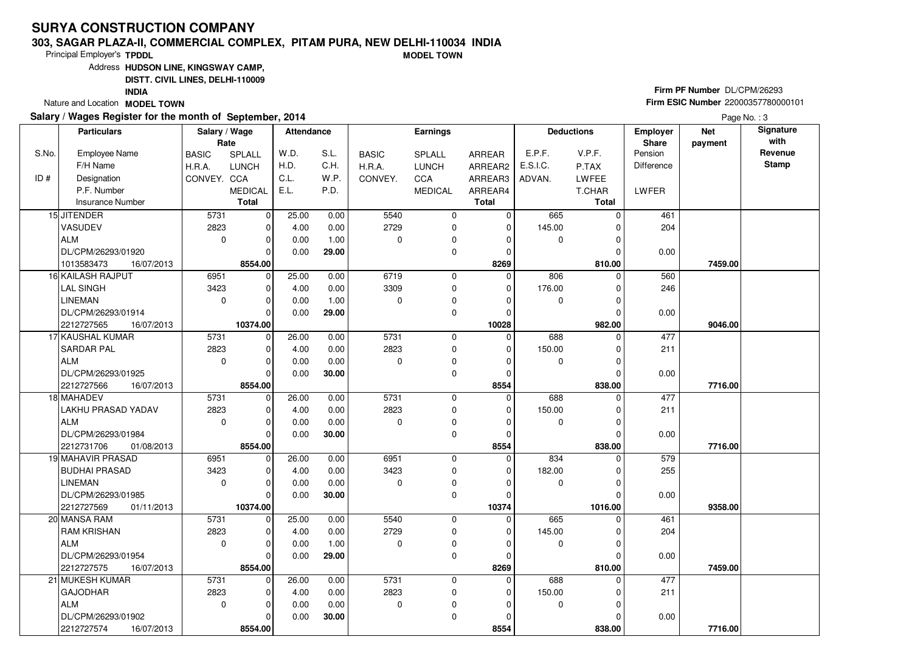#### **303, SAGAR PLAZA-II, COMMERCIAL COMPLEX, PITAM PURA, NEW DELHI-110034 INDIAMODEL TOWN**

Principal Employer's**TPDDL**

Address**HUDSON LINE, KINGSWAY CAMP,**

**DISTT. CIVIL LINES, DELHI-110009**

**INDIA**

Nature and Location **MODEL TOWN** 

## **Salary / Wages Register for the month of September, 2014**

# **Firm PF Number** DL/CPM/26293 **Firm ESIC Number** <sup>22000357780000101</sup>

|       | <b>Particulars</b>                 | Salary / Wage<br>Rate |                | <b>Attendance</b> |              |              | <b>Earnings</b> |                   |          | <b>Deductions</b> | Employer<br>Share | <b>Net</b><br>payment | Signature<br>with |
|-------|------------------------------------|-----------------------|----------------|-------------------|--------------|--------------|-----------------|-------------------|----------|-------------------|-------------------|-----------------------|-------------------|
| S.No. | <b>Employee Name</b>               | <b>BASIC</b>          | SPLALL         | W.D.              | S.L.         | <b>BASIC</b> | <b>SPLALL</b>   | <b>ARREAR</b>     | E.P.F.   | V.P.F.            | Pension           |                       | Revenue           |
|       | F/H Name                           | H.R.A.                | <b>LUNCH</b>   | H.D.              | C.H.         | H.R.A.       | <b>LUNCH</b>    | ARREAR2           | E.S.I.C. | P.TAX             | <b>Difference</b> |                       | <b>Stamp</b>      |
| ID#   | Designation                        | CONVEY. CCA           |                | C.L.              | W.P.         | CONVEY.      | CCA             | ARREAR3           | ADVAN.   | <b>LWFEE</b>      |                   |                       |                   |
|       | P.F. Number                        |                       | <b>MEDICAL</b> | E.L.              | P.D.         |              | <b>MEDICAL</b>  | ARREAR4           |          | T.CHAR            | LWFER             |                       |                   |
|       | <b>Insurance Number</b>            |                       | <b>Total</b>   |                   |              |              |                 | <b>Total</b>      |          | <b>Total</b>      |                   |                       |                   |
|       | 15 JITENDER                        | 5731                  | $\mathbf 0$    | 25.00             | 0.00         | 5540         | 0               | $\mathbf 0$       | 665      | $\Omega$          | 461               |                       |                   |
|       | VASUDEV                            | 2823                  | $\mathbf 0$    | 4.00              | 0.00         | 2729         | $\mathbf 0$     | $\mathbf 0$       | 145.00   | $\Omega$          | 204               |                       |                   |
|       | ALM                                | $\mathbf 0$           | $\mathbf 0$    | 0.00              | 1.00         | $\Omega$     | 0               | $\Omega$          | 0        | U                 |                   |                       |                   |
|       | DL/CPM/26293/01920                 |                       | $\Omega$       | 0.00              | 29.00        |              | 0               | 0                 |          | O                 | 0.00              |                       |                   |
|       | 16/07/2013<br>1013583473           |                       | 8554.00        |                   |              |              |                 | 8269              |          | 810.00            |                   | 7459.00               |                   |
|       | 16 KAILASH RAJPUT                  | 6951                  | $\mathbf 0$    | 25.00             | 0.00         | 6719         | $\mathbf 0$     | $\Omega$          | 806      | $\Omega$          | 560               |                       |                   |
|       | <b>LAL SINGH</b>                   | 3423                  | $\mathbf 0$    | 4.00              | 0.00         | 3309         | 0               | 0                 | 176.00   | $\Omega$          | 246               |                       |                   |
|       | <b>LINEMAN</b>                     | $\mathbf 0$           | $\mathbf 0$    | 0.00              | 1.00         | $\Omega$     | 0               | $\Omega$          | 0        | $\Omega$          |                   |                       |                   |
|       | DL/CPM/26293/01914                 |                       | $\Omega$       | 0.00              | 29.00        |              | $\mathbf 0$     | $\Omega$          |          | $\Omega$          | 0.00              |                       |                   |
|       | 2212727565<br>16/07/2013           |                       | 10374.00       |                   |              |              |                 | 10028             |          | 982.00            |                   | 9046.00               |                   |
|       | 17 KAUSHAL KUMAR                   | 5731                  | $\mathbf 0$    | 26.00             | 0.00         | 5731         | 0               | $\mathbf 0$       | 688      | $\Omega$          | 477               |                       |                   |
|       | <b>SARDAR PAL</b>                  | 2823                  | $\mathbf 0$    | 4.00              | 0.00         | 2823         | 0               | $\mathbf 0$       | 150.00   | 0                 | 211               |                       |                   |
|       | ALM                                | $\mathbf 0$           | $\Omega$       | 0.00              | 0.00         | $\Omega$     | 0               | $\Omega$          | 0        | $\Omega$          |                   |                       |                   |
|       | DL/CPM/26293/01925                 |                       | $\Omega$       | 0.00              | 30.00        |              | 0               | $\mathbf 0$       |          | 0                 | 0.00              |                       |                   |
|       | 2212727566<br>16/07/2013           |                       | 8554.00        |                   |              |              |                 | 8554              |          | 838.00            |                   | 7716.00               |                   |
|       | 18 MAHADEV                         | 5731                  | 0              | 26.00             | 0.00         | 5731         | $\mathbf 0$     | $\Omega$          | 688      | $\Omega$          | 477               |                       |                   |
|       | LAKHU PRASAD YADAV                 | 2823                  | $\mathbf 0$    | 4.00              | 0.00         | 2823         | $\mathbf 0$     | 0                 | 150.00   |                   | 211               |                       |                   |
|       | ALM                                | $\mathbf 0$           | $\mathbf 0$    | 0.00              | 0.00         | $\Omega$     | 0               | $\Omega$          | 0        | $\Omega$          |                   |                       |                   |
|       | DL/CPM/26293/01984                 |                       | $\Omega$       | 0.00              | 30.00        |              | $\mathbf 0$     | $\Omega$          |          | $\Omega$          | 0.00              |                       |                   |
|       | 2212731706<br>01/08/2013           |                       | 8554.00        |                   |              |              |                 | 8554              |          | 838.00            |                   | 7716.00               |                   |
|       | <b>19 MAHAVIR PRASAD</b>           | 6951                  | $\mathbf 0$    | 26.00             | 0.00         | 6951         | 0               | $\mathbf 0$       | 834      | 0                 | 579               |                       |                   |
|       | <b>BUDHAI PRASAD</b>               | 3423                  | $\mathbf 0$    | 4.00              | 0.00         | 3423         | $\mathbf 0$     | $\mathbf 0$       | 182.00   | O                 | 255               |                       |                   |
|       | <b>LINEMAN</b>                     | $\mathbf 0$           | $\mathbf 0$    | 0.00              | 0.00         | $\Omega$     | 0               | 0                 | 0        | O                 |                   |                       |                   |
|       | DL/CPM/26293/01985                 |                       | $\Omega$       | 0.00              | 30.00        |              | $\mathbf 0$     | $\mathbf 0$       |          |                   | 0.00              |                       |                   |
|       | 2212727569<br>01/11/2013           | 5731                  | 10374.00<br> 0 | 25.00             |              | 5540         | $\mathbf 0$     | 10374<br>$\Omega$ | 665      | 1016.00<br>0      | 461               | 9358.00               |                   |
|       | 20 MANSA RAM<br><b>RAM KRISHAN</b> | 2823                  | $\mathbf 0$    | 4.00              | 0.00<br>0.00 | 2729         | 0               | 0                 | 145.00   |                   | 204               |                       |                   |
|       | ALM                                | $\Omega$              | $\Omega$       | 0.00              | 1.00         | $\Omega$     | $\mathbf 0$     | $\Omega$          | 0        | $\Omega$          |                   |                       |                   |
|       | DL/CPM/26293/01954                 |                       | $\Omega$       | 0.00              | 29.00        |              | $\Omega$        | $\Omega$          |          |                   | 0.00              |                       |                   |
|       | 2212727575<br>16/07/2013           |                       | 8554.00        |                   |              |              |                 | 8269              |          | 810.00            |                   | 7459.00               |                   |
|       | 21 MUKESH KUMAR                    | 5731                  | $\mathbf 0$    | 26.00             | 0.00         | 5731         | $\mathbf 0$     | $\mathbf 0$       | 688      | $\Omega$          | 477               |                       |                   |
|       | GAJODHAR                           | 2823                  | $\mathbf 0$    | 4.00              | 0.00         | 2823         | 0               | $\Omega$          | 150.00   |                   | 211               |                       |                   |
|       | ALM                                | $\mathbf 0$           | $\Omega$       | 0.00              | 0.00         | $\mathbf 0$  | 0               | $\Omega$          | 0        | O                 |                   |                       |                   |
|       | DL/CPM/26293/01902                 |                       | $\Omega$       | 0.00              | 30.00        |              | $\mathbf 0$     | $\Omega$          |          |                   | 0.00              |                       |                   |
|       | 2212727574<br>16/07/2013           |                       | 8554.00        |                   |              |              |                 | 8554              |          | 838.00            |                   | 7716.00               |                   |
|       |                                    |                       |                |                   |              |              |                 |                   |          |                   |                   |                       |                   |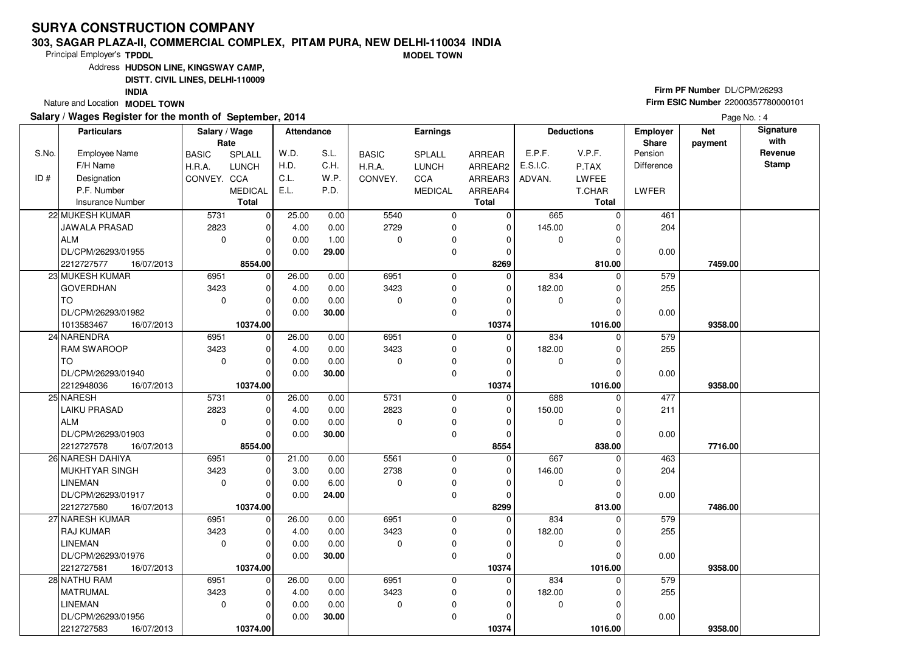#### **303, SAGAR PLAZA-II, COMMERCIAL COMPLEX, PITAM PURA, NEW DELHI-110034 INDIAMODEL TOWN**

Principal Employer's**TPDDL**

Address**HUDSON LINE, KINGSWAY CAMP,**

**DISTT. CIVIL LINES, DELHI-110009**

**INDIA**

Nature and Location **MODEL TOWN** 

## **Salary / Wages Register for the month of September, 2014**

# **Firm PF Number** DL/CPM/26293 **Firm ESIC Number** <sup>22000357780000101</sup>

|       | <b>Particulars</b>       | Salary / Wage<br>Rate |                | <b>Attendance</b> |       |              | <b>Earnings</b> |              |             | <b>Deductions</b> | <b>Employer</b><br><b>Share</b> | <b>Net</b><br>payment | Signature<br>with |
|-------|--------------------------|-----------------------|----------------|-------------------|-------|--------------|-----------------|--------------|-------------|-------------------|---------------------------------|-----------------------|-------------------|
| S.No. | Employee Name            | <b>BASIC</b>          | <b>SPLALL</b>  | W.D.              | S.L.  | <b>BASIC</b> | <b>SPLALL</b>   | ARREAR       | E.P.F.      | V.P.F.            | Pension                         |                       | Revenue           |
|       | F/H Name                 | H.R.A.                | <b>LUNCH</b>   | H.D.              | C.H.  | H.R.A.       | <b>LUNCH</b>    | ARREAR2      | E.S.I.C.    | P.TAX             | Difference                      |                       | <b>Stamp</b>      |
| ID#   | Designation              | CONVEY. CCA           |                | C.L.              | W.P.  | CONVEY.      | <b>CCA</b>      | ARREAR3      | ADVAN.      | <b>LWFEE</b>      |                                 |                       |                   |
|       | P.F. Number              |                       | <b>MEDICAL</b> | E.L.              | P.D.  |              | <b>MEDICAL</b>  | ARREAR4      |             | T.CHAR            | LWFER                           |                       |                   |
|       | <b>Insurance Number</b>  |                       | <b>Total</b>   |                   |       |              |                 | <b>Total</b> |             | Total             |                                 |                       |                   |
|       | 22 MUKESH KUMAR          | 5731                  | $\mathbf 0$    | 25.00             | 0.00  | 5540         | 0               | 0            | 665         | $\Omega$          | 461                             |                       |                   |
|       | <b>JAWALA PRASAD</b>     | 2823                  | $\mathbf 0$    | 4.00              | 0.00  | 2729         | 0               | $\mathbf 0$  | 145.00      | 0                 | 204                             |                       |                   |
|       | ALM                      | $\mathbf 0$           | $\mathbf 0$    | 0.00              | 1.00  | $\Omega$     | 0               | $\Omega$     | 0           | $\Omega$          |                                 |                       |                   |
|       | DL/CPM/26293/01955       |                       | $\Omega$       | 0.00              | 29.00 |              | 0               | 0            |             |                   | 0.00                            |                       |                   |
|       | 2212727577<br>16/07/2013 |                       | 8554.00        |                   |       |              |                 | 8269         |             | 810.00            |                                 | 7459.00               |                   |
|       | 23 MUKESH KUMAR          | 6951                  | $\mathbf 0$    | 26.00             | 0.00  | 6951         | 0               | $\mathbf 0$  | 834         | $\Omega$          | 579                             |                       |                   |
|       | <b>GOVERDHAN</b>         | 3423                  | $\mathbf 0$    | 4.00              | 0.00  | 3423         | $\mathbf 0$     | $\Omega$     | 182.00      | $\Omega$          | 255                             |                       |                   |
|       | TO                       | $\mathbf 0$           | $\Omega$       | 0.00              | 0.00  | $\Omega$     | 0               | O            | 0           | $\Omega$          |                                 |                       |                   |
|       | DL/CPM/26293/01982       |                       | $\Omega$       | 0.00              | 30.00 |              | $\mathbf 0$     | 0            |             | $\Omega$          | 0.00                            |                       |                   |
|       | 1013583467<br>16/07/2013 |                       | 10374.00       |                   |       |              |                 | 10374        |             | 1016.00           |                                 | 9358.00               |                   |
|       | 24 NARENDRA              | 6951                  | $\mathbf 0$    | 26.00             | 0.00  | 6951         | 0               | $\mathbf 0$  | 834         | $\Omega$          | 579                             |                       |                   |
|       | <b>RAM SWAROOP</b>       | 3423                  | $\mathbf 0$    | 4.00              | 0.00  | 3423         | $\mathbf 0$     | $\Omega$     | 182.00      | $\Omega$          | 255                             |                       |                   |
|       | TO                       | $\mathbf 0$           | $\Omega$       | 0.00              | 0.00  | $\Omega$     | 0               | $\Omega$     | 0           | $\Omega$          |                                 |                       |                   |
|       | DL/CPM/26293/01940       |                       | $\Omega$       | 0.00              | 30.00 |              | $\mathbf 0$     | $\Omega$     |             |                   | 0.00                            |                       |                   |
|       | 2212948036<br>16/07/2013 |                       | 10374.00       |                   |       |              |                 | 10374        |             | 1016.00           |                                 | 9358.00               |                   |
|       | 25 NARESH                | 5731                  | $\mathbf 0$    | 26.00             | 0.00  | 5731         | 0               | $\mathbf 0$  | 688         | $\Omega$          | 477                             |                       |                   |
|       | LAIKU PRASAD             | 2823                  | $\Omega$       | 4.00              | 0.00  | 2823         | 0               | $\Omega$     | 150.00      | $\Omega$          | 211                             |                       |                   |
|       | <b>ALM</b>               | $\mathbf 0$           | $\Omega$       | 0.00              | 0.00  | $\Omega$     | 0               | $\Omega$     | 0           | $\Omega$          |                                 |                       |                   |
|       | DL/CPM/26293/01903       |                       | $\Omega$       | 0.00              | 30.00 |              | $\mathbf 0$     | $\Omega$     |             | $\Omega$          | 0.00                            |                       |                   |
|       | 2212727578<br>16/07/2013 |                       | 8554.00        |                   |       |              |                 | 8554         |             | 838.00            |                                 | 7716.00               |                   |
|       | 26 NARESH DAHIYA         | 6951                  | $\mathbf 0$    | 21.00             | 0.00  | 5561         | $\mathbf 0$     | $\mathbf 0$  | 667         |                   | 463                             |                       |                   |
|       | MUKHTYAR SINGH           | 3423                  | $\Omega$       | 3.00              | 0.00  | 2738         | 0               | $\Omega$     | 146.00      | $\Omega$          | 204                             |                       |                   |
|       | <b>LINEMAN</b>           | $\mathbf 0$           | $\mathbf 0$    | 0.00              | 6.00  | $\Omega$     | 0               | 0            | $\mathbf 0$ | $\Omega$          |                                 |                       |                   |
|       | DL/CPM/26293/01917       |                       | $\Omega$       | 0.00              | 24.00 |              | $\mathbf 0$     | $\Omega$     |             |                   | 0.00                            |                       |                   |
|       | 2212727580<br>16/07/2013 |                       | 10374.00       |                   |       |              |                 | 8299         |             | 813.00            |                                 | 7486.00               |                   |
|       | 27 NARESH KUMAR          | 6951                  | $\mathbf 0$    | 26.00             | 0.00  | 6951         | $\mathbf 0$     | $\Omega$     | 834         | $\Omega$          | 579                             |                       |                   |
|       | <b>RAJ KUMAR</b>         | 3423                  | $\mathbf 0$    | 4.00              | 0.00  | 3423         | 0               | $\Omega$     | 182.00      | $\Omega$          | 255                             |                       |                   |
|       | <b>LINEMAN</b>           | $\mathbf 0$           | $\Omega$       | 0.00              | 0.00  | $\Omega$     | 0               | $\Omega$     | $\mathbf 0$ |                   |                                 |                       |                   |
|       | DL/CPM/26293/01976       |                       | $\Omega$       | 0.00              | 30.00 |              | 0               | $\Omega$     |             | 0                 | 0.00                            |                       |                   |
|       | 2212727581<br>16/07/2013 |                       | 10374.00       |                   |       |              |                 | 10374        |             | 1016.00           |                                 | 9358.00               |                   |
|       | 28 NATHU RAM             | 6951                  | $\Omega$       | 26.00             | 0.00  | 6951         | $\mathbf 0$     | $\Omega$     | 834         | $\Omega$          | 579                             |                       |                   |
|       | MATRUMAL                 | 3423                  | $\mathbf 0$    | 4.00              | 0.00  | 3423         | 0               | 0            | 182.00      |                   | 255                             |                       |                   |
|       | <b>LINEMAN</b>           | $\mathbf 0$           | $\Omega$       | 0.00              | 0.00  | 0            | 0               | $\Omega$     | 0           | $\Omega$          |                                 |                       |                   |
|       | DL/CPM/26293/01956       |                       | 0              | 0.00              | 30.00 |              | 0               | $\Omega$     |             | 0                 | 0.00                            |                       |                   |
|       | 2212727583<br>16/07/2013 |                       | 10374.00       |                   |       |              |                 | 10374        |             | 1016.00           |                                 | 9358.00               |                   |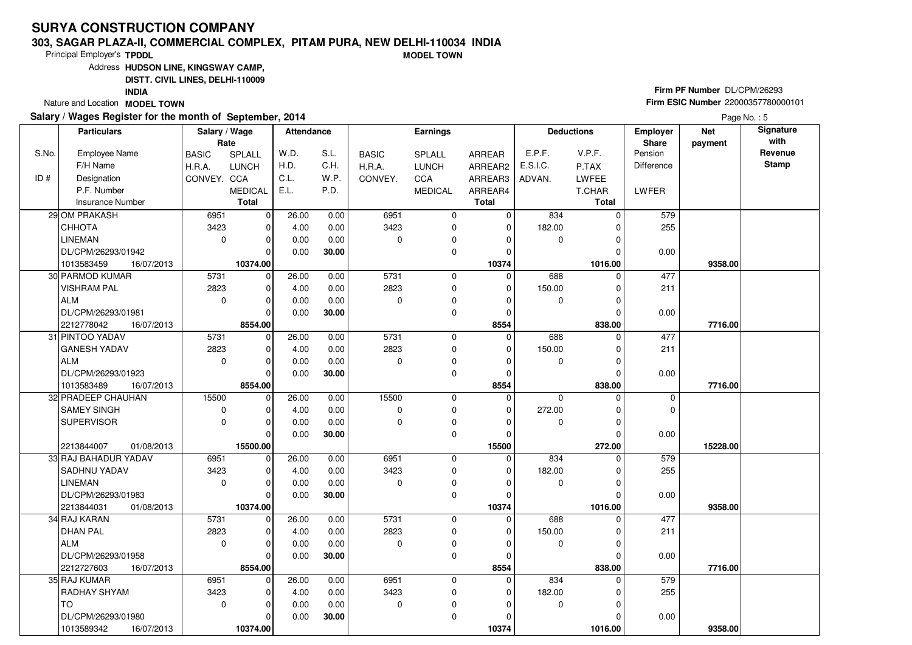### **303, SAGAR PLAZA-II, COMMERCIAL COMPLEX, PITAM PURA, NEW DELHI-110034 INDIAMODEL TOWN**

Principal Employer's**TPDDL**

Address**HUDSON LINE, KINGSWAY CAMP,**

**DISTT. CIVIL LINES, DELHI-110009**

**INDIA**

Nature and Location **MODEL TOWN** 

### **Salary / Wages Register for the month of September, 2014**

# **Firm PF Number** DL/CPM/26293 **Firm ESIC Number** <sup>22000357780000101</sup>

|       | <b>Particulars</b>       | Salary / Wage<br>Rate |                | Attendance |       |              | <b>Earnings</b> |              |             | <b>Deductions</b> | <b>Employer</b><br>Share | <b>Net</b><br>payment | Signature<br>with |
|-------|--------------------------|-----------------------|----------------|------------|-------|--------------|-----------------|--------------|-------------|-------------------|--------------------------|-----------------------|-------------------|
| S.No. | <b>Employee Name</b>     | <b>BASIC</b>          | SPLALL         | W.D.       | S.L.  | <b>BASIC</b> | <b>SPLALL</b>   | ARREAR       | E.P.F.      | V.P.F.            | Pension                  |                       | Revenue           |
|       | F/H Name                 | H.R.A.                | <b>LUNCH</b>   | H.D.       | C.H.  | H.R.A.       | <b>LUNCH</b>    | ARREAR2      | E.S.I.C.    | P.TAX             | <b>Difference</b>        |                       | <b>Stamp</b>      |
| ID#   | Designation              | CONVEY. CCA           |                | C.L.       | W.P.  | CONVEY.      | CCA             | ARREAR3      | ADVAN.      | LWFEE             |                          |                       |                   |
|       | P.F. Number              |                       | <b>MEDICAL</b> | E.L.       | P.D.  |              | <b>MEDICAL</b>  | ARREAR4      |             | T.CHAR            | <b>LWFER</b>             |                       |                   |
|       | Insurance Number         |                       | <b>Total</b>   |            |       |              |                 | <b>Total</b> |             | <b>Total</b>      |                          |                       |                   |
|       | 29 OM PRAKASH            | 6951                  | $\mathbf 0$    | 26.00      | 0.00  | 6951         | $\mathbf 0$     | 0            | 834         | $\Omega$          | 579                      |                       |                   |
|       | CHHOTA                   | 3423                  | $\mathbf 0$    | 4.00       | 0.00  | 3423         | 0               | $\mathbf 0$  | 182.00      | O                 | 255                      |                       |                   |
|       | LINEMAN                  | $\mathbf 0$           | $\mathbf 0$    | 0.00       | 0.00  | $\Omega$     | $\mathbf 0$     | 0            | $\mathbf 0$ |                   |                          |                       |                   |
|       | DL/CPM/26293/01942       |                       | $\Omega$       | 0.00       | 30.00 |              | 0               | 0            |             |                   | 0.00                     |                       |                   |
|       | 1013583459<br>16/07/2013 |                       | 10374.00       |            |       |              |                 | 10374        |             | 1016.00           |                          | 9358.00               |                   |
|       | 30 PARMOD KUMAR          | 5731                  | $\mathbf 0$    | 26.00      | 0.00  | 5731         | 0               | $\Omega$     | 688         | 0                 | 477                      |                       |                   |
|       | <b>VISHRAM PAL</b>       | 2823                  | $\mathbf 0$    | 4.00       | 0.00  | 2823         | 0               | $\mathbf 0$  | 150.00      | $\Omega$          | 211                      |                       |                   |
|       | ALM                      | $\mathbf 0$           | $\mathbf 0$    | 0.00       | 0.00  | $\mathbf 0$  | 0               | $\Omega$     | 0           | 0                 |                          |                       |                   |
|       | DL/CPM/26293/01981       |                       | $\Omega$       | 0.00       | 30.00 |              | $\mathbf 0$     | $\mathbf 0$  |             | $\Omega$          | 0.00                     |                       |                   |
|       | 2212778042<br>16/07/2013 |                       | 8554.00        |            |       |              |                 | 8554         |             | 838.00            |                          | 7716.00               |                   |
|       | 31 PINTOO YADAV          | 5731                  | $\mathbf 0$    | 26.00      | 0.00  | 5731         | $\mathbf 0$     | $\mathbf 0$  | 688         | $\Omega$          | 477                      |                       |                   |
|       | <b>GANESH YADAV</b>      | 2823                  | $\mathbf 0$    | 4.00       | 0.00  | 2823         | $\mathbf 0$     | 0            | 150.00      | 0                 | 211                      |                       |                   |
|       | ALM                      | $\mathbf 0$           | $\mathbf 0$    | 0.00       | 0.00  | $\Omega$     | 0               | $\Omega$     | 0           | $\Omega$          |                          |                       |                   |
|       | DL/CPM/26293/01923       |                       | $\Omega$       | 0.00       | 30.00 |              | 0               | $\Omega$     |             | 0                 | 0.00                     |                       |                   |
|       | 1013583489<br>16/07/2013 |                       | 8554.00        |            |       |              |                 | 8554         |             | 838.00            |                          | 7716.00               |                   |
|       | 32 PRADEEP CHAUHAN       | 15500                 | 0              | 26.00      | 0.00  | 15500        | 0               | $\mathbf 0$  | $\mathbf 0$ | $\mathbf 0$       | 0                        |                       |                   |
|       | SAMEY SINGH              | $\mathbf 0$           | $\mathbf 0$    | 4.00       | 0.00  | $\Omega$     | $\mathbf 0$     | $\Omega$     | 272.00      | $\Omega$          | $\mathbf 0$              |                       |                   |
|       | SUPERVISOR               | $\mathbf 0$           | $\mathbf 0$    | 0.00       | 0.00  | $\mathbf 0$  | 0               | $\Omega$     | 0           | 0                 |                          |                       |                   |
|       |                          |                       | $\Omega$       | 0.00       | 30.00 |              | $\Omega$        | $\Omega$     |             | O                 | 0.00                     |                       |                   |
|       | 2213844007<br>01/08/2013 |                       | 15500.00       |            |       |              |                 | 15500        |             | 272.00            |                          | 15228.00              |                   |
|       | 33 RAJ BAHADUR YADAV     | 6951                  | $\mathbf 0$    | 26.00      | 0.00  | 6951         | $\mathbf 0$     | 0            | 834         |                   | 579                      |                       |                   |
|       | <b>SADHNU YADAV</b>      | 3423                  | $\Omega$       | 4.00       | 0.00  | 3423         | 0               | 0            | 182.00      |                   | 255                      |                       |                   |
|       | <b>LINEMAN</b>           | $\mathbf 0$           | $\mathbf 0$    | 0.00       | 0.00  | $\Omega$     | $\mathbf 0$     | $\Omega$     | $\mathbf 0$ | $\Omega$          |                          |                       |                   |
|       | DL/CPM/26293/01983       |                       | $\mathbf 0$    | 0.00       | 30.00 |              | 0               | $\Omega$     |             |                   | 0.00                     |                       |                   |
|       | 2213844031<br>01/08/2013 |                       | 10374.00       |            |       |              |                 | 10374        |             | 1016.00           |                          | 9358.00               |                   |
|       | 34 RAJ KARAN             | 5731                  | $\mathbf 0$    | 26.00      | 0.00  | 5731         | 0               | $\mathbf 0$  | 688         | 0                 | 477                      |                       |                   |
|       | <b>DHAN PAL</b>          | 2823                  | $\mathbf 0$    | 4.00       | 0.00  | 2823         | $\mathbf 0$     | $\Omega$     | 150.00      | $\Omega$          | 211                      |                       |                   |
|       | <b>ALM</b>               | $\mathbf 0$           | $\mathbf 0$    | 0.00       | 0.00  | $\Omega$     | 0               | $\Omega$     | 0           |                   |                          |                       |                   |
|       | DL/CPM/26293/01958       |                       | $\Omega$       | 0.00       | 30.00 |              | $\mathbf 0$     | $\Omega$     |             |                   | 0.00                     |                       |                   |
|       | 2212727603<br>16/07/2013 |                       | 8554.00        |            |       |              |                 | 8554         |             | 838.00            |                          | 7716.00               |                   |
|       | 35 RAJ KUMAR             | 6951                  | $\mathbf 0$    | 26.00      | 0.00  | 6951         | $\mathbf 0$     | $\Omega$     | 834         | 0                 | 579                      |                       |                   |
|       | <b>RADHAY SHYAM</b>      | 3423                  | $\Omega$       | 4.00       | 0.00  | 3423         | 0               | $\Omega$     | 182.00      |                   | 255                      |                       |                   |
|       | l TO                     | $\mathbf 0$           | $\mathbf 0$    | 0.00       | 0.00  | $\mathbf 0$  | 0               | $\Omega$     | 0           | $\Omega$          |                          |                       |                   |
|       | DL/CPM/26293/01980       |                       | 0              | 0.00       | 30.00 |              | 0               | $\Omega$     |             |                   | 0.00                     |                       |                   |
|       | 1013589342<br>16/07/2013 |                       | 10374.00       |            |       |              |                 | 10374        |             | 1016.00           |                          | 9358.00               |                   |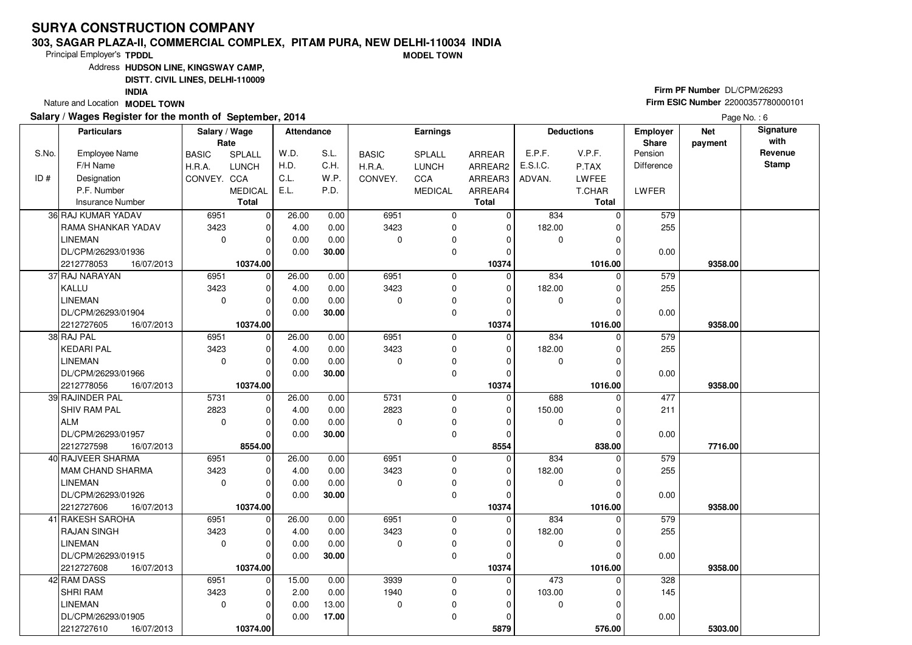### **303, SAGAR PLAZA-II, COMMERCIAL COMPLEX, PITAM PURA, NEW DELHI-110034 INDIAMODEL TOWN**

Principal Employer's**TPDDL**

Address**HUDSON LINE, KINGSWAY CAMP,**

**DISTT. CIVIL LINES, DELHI-110009**

**INDIA**

Nature and Location **MODEL TOWN** 

### **Salary / Wages Register for the month of September, 2014**

# **Firm PF Number** DL/CPM/26293 **Firm ESIC Number** <sup>22000357780000101</sup>

|       | <b>Particulars</b>       | Salary / Wage<br>Rate |                | <b>Attendance</b> |       |              | <b>Earnings</b> |              |             | <b>Deductions</b> | Employer<br>Share | <b>Net</b><br>payment | Signature<br>with |
|-------|--------------------------|-----------------------|----------------|-------------------|-------|--------------|-----------------|--------------|-------------|-------------------|-------------------|-----------------------|-------------------|
| S.No. | <b>Employee Name</b>     | <b>BASIC</b>          | SPLALL         | W.D.              | S.L.  | <b>BASIC</b> | SPLALL          | ARREAR       | E.P.F.      | V.P.F.            | Pension           |                       | Revenue           |
|       | F/H Name                 | H.R.A.                | <b>LUNCH</b>   | H.D.              | C.H.  | H.R.A.       | <b>LUNCH</b>    | ARREAR2      | E.S.I.C.    | P.TAX             | Difference        |                       | <b>Stamp</b>      |
| ID#   | Designation              | CONVEY. CCA           |                | C.L.              | W.P.  | CONVEY.      | CCA             | ARREAR3      | ADVAN.      | <b>LWFEE</b>      |                   |                       |                   |
|       | P.F. Number              |                       | <b>MEDICAL</b> | E.L.              | P.D.  |              | <b>MEDICAL</b>  | ARREAR4      |             | T.CHAR            | LWFER             |                       |                   |
|       | <b>Insurance Number</b>  |                       | <b>Total</b>   |                   |       |              |                 | <b>Total</b> |             | <b>Total</b>      |                   |                       |                   |
|       | 36 RAJ KUMAR YADAV       | 6951                  | $\mathbf 0$    | 26.00             | 0.00  | 6951         | 0               | 0            | 834         | 0                 | 579               |                       |                   |
|       | RAMA SHANKAR YADAV       | 3423                  | $\mathbf 0$    | 4.00              | 0.00  | 3423         | 0               | $\mathbf 0$  | 182.00      | $\Omega$          | 255               |                       |                   |
|       | <b>LINEMAN</b>           | $\mathbf 0$           | $\mathbf 0$    | 0.00              | 0.00  | $\Omega$     | 0               | $\Omega$     | 0           |                   |                   |                       |                   |
|       | DL/CPM/26293/01936       |                       | $\Omega$       | 0.00              | 30.00 |              | $\mathbf 0$     | $\Omega$     |             |                   | 0.00              |                       |                   |
|       | 2212778053<br>16/07/2013 |                       | 10374.00       |                   |       |              |                 | 10374        |             | 1016.00           |                   | 9358.00               |                   |
|       | 37 RAJ NARAYAN           | 6951                  | 0              | 26.00             | 0.00  | 6951         | $\mathbf 0$     | $\Omega$     | 834         | $\Omega$          | 579               |                       |                   |
|       | KALLU                    | 3423                  | $\mathbf 0$    | 4.00              | 0.00  | 3423         | $\mathbf 0$     | 0            | 182.00      | $\Omega$          | 255               |                       |                   |
|       | <b>LINEMAN</b>           | $\mathbf 0$           | $\Omega$       | 0.00              | 0.00  | $\Omega$     | 0               | 0            | 0           |                   |                   |                       |                   |
|       | DL/CPM/26293/01904       |                       | $\Omega$       | 0.00              | 30.00 |              | $\Omega$        | $\Omega$     |             | $\Omega$          | 0.00              |                       |                   |
|       | 2212727605<br>16/07/2013 |                       | 10374.00       |                   |       |              |                 | 10374        |             | 1016.00           |                   | 9358.00               |                   |
|       | 38 RAJ PAL               | 6951                  | $\mathbf 0$    | 26.00             | 0.00  | 6951         | $\mathbf 0$     | $\Omega$     | 834         | $\Omega$          | 579               |                       |                   |
|       | KEDARI PAL               | 3423                  | $\mathbf 0$    | 4.00              | 0.00  | 3423         | 0               | 0            | 182.00      |                   | 255               |                       |                   |
|       | <b>LINEMAN</b>           | $\mathbf 0$           | $\Omega$       | 0.00              | 0.00  | $\Omega$     | $\mathbf 0$     | $\Omega$     | $\mathbf 0$ | O                 |                   |                       |                   |
|       | DL/CPM/26293/01966       |                       | $\Omega$       | 0.00              | 30.00 |              | $\mathbf 0$     | $\mathbf 0$  |             |                   | 0.00              |                       |                   |
|       | 2212778056<br>16/07/2013 |                       | 10374.00       |                   |       |              |                 | 10374        |             | 1016.00           |                   | 9358.00               |                   |
|       | 39 RAJINDER PAL          | 5731                  | $\mathbf 0$    | 26.00             | 0.00  | 5731         | $\mathbf 0$     | $\Omega$     | 688         | $\Omega$          | 477               |                       |                   |
|       | <b>SHIV RAM PAL</b>      | 2823                  | $\Omega$       | 4.00              | 0.00  | 2823         | 0               | $\Omega$     | 150.00      |                   | 211               |                       |                   |
|       | ALM                      | $\Omega$              | $\Omega$       | 0.00              | 0.00  | $\Omega$     | 0               | $\Omega$     | $\mathbf 0$ | ŋ                 |                   |                       |                   |
|       | DL/CPM/26293/01957       |                       | $\Omega$       | 0.00              | 30.00 |              | $\mathbf 0$     | $\mathbf 0$  |             |                   | 0.00              |                       |                   |
|       | 2212727598<br>16/07/2013 |                       | 8554.00        |                   |       |              |                 | 8554         |             | 838.00            |                   | 7716.00               |                   |
|       | 40 RAJVEER SHARMA        | 6951                  | $\mathbf 0$    | 26.00             | 0.00  | 6951         | $\mathbf 0$     | $\mathbf 0$  | 834         |                   | 579               |                       |                   |
|       | MAM CHAND SHARMA         | 3423                  | $\Omega$       | 4.00              | 0.00  | 3423         | $\mathbf 0$     | $\Omega$     | 182.00      |                   | 255               |                       |                   |
|       | <b>LINEMAN</b>           | $\mathbf 0$           | $\mathbf 0$    | 0.00              | 0.00  | $\Omega$     | $\pmb{0}$       | 0            | 0           | $\Omega$          |                   |                       |                   |
|       | DL/CPM/26293/01926       |                       | $\mathbf 0$    | 0.00              | 30.00 |              | $\mathbf 0$     | $\Omega$     |             |                   | 0.00              |                       |                   |
|       | 2212727606<br>16/07/2013 |                       | 10374.00       |                   |       |              |                 | 10374        |             | 1016.00           |                   | 9358.00               |                   |
|       | 41 RAKESH SAROHA         | 6951                  | $\mathbf 0$    | 26.00             | 0.00  | 6951         | $\mathbf 0$     | $\Omega$     | 834         | 0                 | 579               |                       |                   |
|       | <b>RAJAN SINGH</b>       | 3423                  | $\Omega$       | 4.00              | 0.00  | 3423         | 0               | $\Omega$     | 182.00      | U                 | 255               |                       |                   |
|       | <b>LINEMAN</b>           | $\Omega$              | $\mathbf 0$    | 0.00              | 0.00  | $\Omega$     | $\mathbf 0$     | $\Omega$     | 0           |                   |                   |                       |                   |
|       | DL/CPM/26293/01915       |                       | $\Omega$       | 0.00              | 30.00 |              | $\mathbf 0$     | $\Omega$     |             |                   | 0.00              |                       |                   |
|       | 2212727608<br>16/07/2013 |                       | 10374.00       |                   |       |              |                 | 10374        |             | 1016.00           |                   | 9358.00               |                   |
|       | 42 RAM DASS              | 6951                  | $\mathbf 0$    | 15.00             | 0.00  | 3939         | $\mathbf 0$     | $\Omega$     | 473         | 0                 | 328               |                       |                   |
|       | <b>SHRI RAM</b>          | 3423                  | $\Omega$       | 2.00              | 0.00  | 1940         | $\mathbf 0$     | 0            | 103.00      |                   | 145               |                       |                   |
|       | <b>LINEMAN</b>           | $\mathbf 0$           | $\mathbf 0$    | 0.00              | 13.00 | $\mathbf 0$  | 0               | $\Omega$     | 0           | $\Omega$          |                   |                       |                   |
|       | DL/CPM/26293/01905       |                       | $\Omega$       | 0.00              | 17.00 |              | 0               | $\Omega$     |             |                   | 0.00              |                       |                   |
|       | 2212727610<br>16/07/2013 |                       | 10374.00       |                   |       |              |                 | 5879         |             | 576.00            |                   | 5303.00               |                   |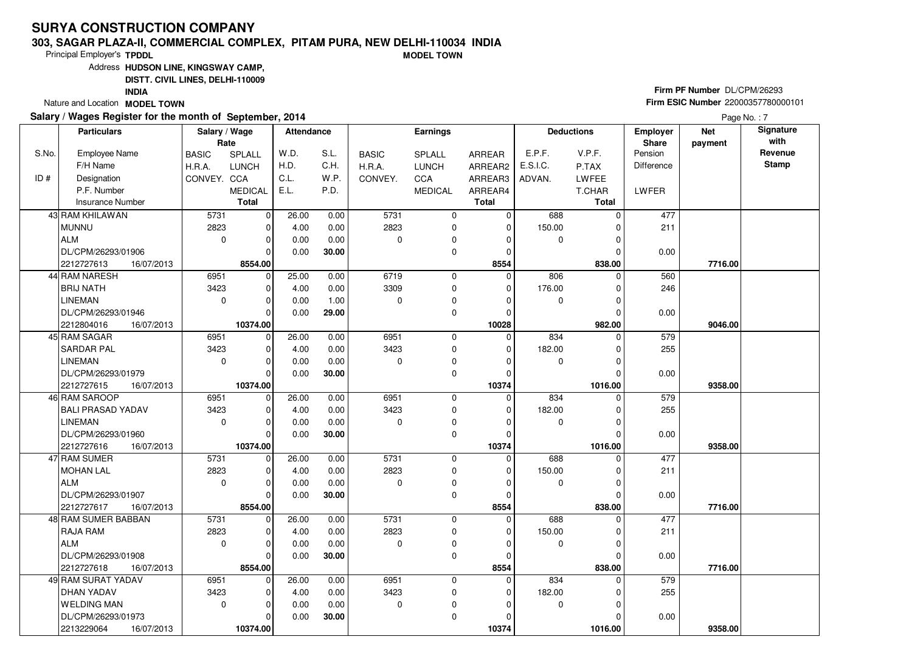### **303, SAGAR PLAZA-II, COMMERCIAL COMPLEX, PITAM PURA, NEW DELHI-110034 INDIAMODEL TOWN**

Principal Employer's**TPDDL**

Address**HUDSON LINE, KINGSWAY CAMP,**

**DISTT. CIVIL LINES, DELHI-110009**

**INDIA**

Nature and Location **MODEL TOWN** 

### **Salary / Wages Register for the month of September, 2014**

# **Firm PF Number** DL/CPM/26293 **Firm ESIC Number** <sup>22000357780000101</sup>

|       | <b>Particulars</b>       | Salary / Wage<br>Rate |                | <b>Attendance</b> |       |              | <b>Earnings</b> |                      |             | <b>Deductions</b>    | <b>Employer</b><br>Share | <b>Net</b><br>payment | Signature<br>with |
|-------|--------------------------|-----------------------|----------------|-------------------|-------|--------------|-----------------|----------------------|-------------|----------------------|--------------------------|-----------------------|-------------------|
| S.No. | <b>Employee Name</b>     | <b>BASIC</b>          | SPLALL         | W.D.              | S.L.  | <b>BASIC</b> | SPLALL          | ARREAR               | E.P.F.      | V.P.F.               | Pension                  |                       | Revenue           |
|       | F/H Name                 | H.R.A.                | <b>LUNCH</b>   | H.D.              | C.H.  | H.R.A.       | <b>LUNCH</b>    | ARREAR2              | E.S.I.C.    | P.TAX                | <b>Difference</b>        |                       | <b>Stamp</b>      |
| ID#   | Designation              | CONVEY. CCA           |                | C.L.              | W.P.  | CONVEY.      | CCA             | ARREAR3              | ADVAN.      | LWFEE                |                          |                       |                   |
|       | P.F. Number              |                       | <b>MEDICAL</b> | E.L.              | P.D.  |              | <b>MEDICAL</b>  | ARREAR4              |             | T.CHAR               | LWFER                    |                       |                   |
|       | <b>Insurance Number</b>  |                       | <b>Total</b>   |                   |       |              |                 | <b>Total</b>         |             | <b>Total</b>         |                          |                       |                   |
|       | 43 RAM KHILAWAN          | 5731                  | 0              |                   |       | 5731         | 0               | 0                    | 688         | $\Omega$             | 477                      |                       |                   |
|       |                          | 2823                  |                | 26.00             | 0.00  | 2823         |                 |                      |             |                      |                          |                       |                   |
|       | <b>MUNNU</b><br>ALM      | $\mathbf 0$           | 0              | 4.00              | 0.00  |              | 0               | $\Omega$<br>$\Omega$ | 150.00      | $\Omega$<br>$\Omega$ | 211                      |                       |                   |
|       |                          |                       | $\mathbf 0$    | 0.00              | 0.00  | $\mathbf 0$  | 0               |                      | 0           |                      |                          |                       |                   |
|       | DL/CPM/26293/01906       |                       | $\Omega$       | 0.00              | 30.00 |              | 0               | $\Omega$             |             | 0                    | 0.00                     |                       |                   |
|       | 2212727613<br>16/07/2013 |                       | 8554.00        |                   |       |              |                 | 8554                 |             | 838.00               |                          | 7716.00               |                   |
|       | 44 RAM NARESH            | 6951                  | $\mathbf 0$    | 25.00             | 0.00  | 6719         | 0               | $\Omega$             | 806         | $\Omega$             | 560                      |                       |                   |
|       | <b>BRIJ NATH</b>         | 3423                  | 0              | 4.00              | 0.00  | 3309         | 0               | $\Omega$             | 176.00      | 0                    | 246                      |                       |                   |
|       | <b>LINEMAN</b>           | $\mathbf 0$           | $\Omega$       | 0.00              | 1.00  | $\mathbf 0$  | 0               | O                    | 0           | 0                    |                          |                       |                   |
|       | DL/CPM/26293/01946       |                       | $\Omega$       | 0.00              | 29.00 |              | 0               | $\Omega$             |             | $\Omega$             | 0.00                     |                       |                   |
|       | 2212804016<br>16/07/2013 |                       | 10374.00       |                   |       |              |                 | 10028                |             | 982.00               |                          | 9046.00               |                   |
|       | 45 RAM SAGAR             | 6951                  | $\overline{0}$ | 26.00             | 0.00  | 6951         | 0               | $\mathbf 0$          | 834         | $\Omega$             | 579                      |                       |                   |
|       | <b>SARDAR PAL</b>        | 3423                  | $\mathbf 0$    | 4.00              | 0.00  | 3423         | 0               | $\Omega$             | 182.00      | 0                    | 255                      |                       |                   |
|       | <b>LINEMAN</b>           | $\mathbf 0$           | $\mathbf 0$    | 0.00              | 0.00  | 0            | 0               | 0                    | $\mathbf 0$ | 0                    |                          |                       |                   |
|       | DL/CPM/26293/01979       |                       | $\Omega$       | 0.00              | 30.00 |              | 0               | $\Omega$             |             | O                    | 0.00                     |                       |                   |
|       | 2212727615<br>16/07/2013 |                       | 10374.00       |                   |       |              |                 | 10374                |             | 1016.00              |                          | 9358.00               |                   |
|       | 46 RAM SAROOP            | 6951                  | $\mathbf 0$    | 26.00             | 0.00  | 6951         | 0               | 0                    | 834         | $\Omega$             | 579                      |                       |                   |
|       | <b>BALI PRASAD YADAV</b> | 3423                  | $\Omega$       | 4.00              | 0.00  | 3423         | 0               | $\Omega$             | 182.00      | 0                    | 255                      |                       |                   |
|       | <b>LINEMAN</b>           | $\Omega$              | $\Omega$       | 0.00              | 0.00  | $\mathbf 0$  | 0               | $\Omega$             | 0           | $\Omega$             |                          |                       |                   |
|       | DL/CPM/26293/01960       |                       | $\Omega$       | 0.00              | 30.00 |              | $\Omega$        | $\Omega$             |             | O                    | 0.00                     |                       |                   |
|       | 2212727616<br>16/07/2013 |                       | 10374.00       |                   |       |              |                 | 10374                |             | 1016.00              |                          | 9358.00               |                   |
|       | 47 RAM SUMER             | 5731                  | $\mathbf 0$    | 26.00             | 0.00  | 5731         | 0               | $\Omega$             | 688         | U                    | 477                      |                       |                   |
|       | MOHAN LAL                | 2823                  | $\Omega$       | 4.00              | 0.00  | 2823         | 0               | $\Omega$             | 150.00      | 0                    | 211                      |                       |                   |
|       | <b>ALM</b>               | $\Omega$              | $\mathbf 0$    | 0.00              | 0.00  | 0            | 0               | 0                    | $\mathbf 0$ | $\Omega$             |                          |                       |                   |
|       | DL/CPM/26293/01907       |                       | $\mathbf 0$    | 0.00              | 30.00 |              | 0               | 0                    |             | 0                    | 0.00                     |                       |                   |
|       | 2212727617<br>16/07/2013 |                       | 8554.00        |                   |       |              |                 | 8554                 |             | 838.00               |                          | 7716.00               |                   |
|       | 48 RAM SUMER BABBAN      | 5731                  | $\mathbf 0$    | 26.00             | 0.00  | 5731         | 0               | $\Omega$             | 688         | 0                    | 477                      |                       |                   |
|       | <b>RAJA RAM</b>          | 2823                  | $\Omega$       | 4.00              | 0.00  | 2823         | 0               | $\Omega$             | 150.00      | $\Omega$             | 211                      |                       |                   |
|       | ALM                      | $\mathbf 0$           | $\mathbf 0$    | 0.00              | 0.00  | $\Omega$     | 0               | $\Omega$             | 0           | 0                    |                          |                       |                   |
|       | DL/CPM/26293/01908       |                       | $\Omega$       | 0.00              | 30.00 |              | 0               | $\Omega$             |             | U                    | 0.00                     |                       |                   |
|       | 2212727618<br>16/07/2013 |                       | 8554.00        |                   |       |              |                 | 8554                 |             | 838.00               |                          | 7716.00               |                   |
|       | 49 RAM SURAT YADAV       | 6951                  | $\Omega$       | 26.00             | 0.00  | 6951         | 0               | $\Omega$             | 834         | U                    | 579                      |                       |                   |
|       | <b>DHAN YADAV</b>        | 3423                  | $\Omega$       | 4.00              | 0.00  | 3423         | 0               | $\Omega$             | 182.00      | U                    | 255                      |                       |                   |
|       | <b>WELDING MAN</b>       | $\mathbf 0$           | $\mathbf 0$    | 0.00              | 0.00  | $\mathbf 0$  | 0               | O                    | $\mathbf 0$ | $\Omega$             |                          |                       |                   |
|       | DL/CPM/26293/01973       |                       | $\Omega$       | 0.00              | 30.00 |              | 0               | ŋ                    |             | 0                    | 0.00                     |                       |                   |
|       | 2213229064<br>16/07/2013 |                       | 10374.00       |                   |       |              |                 | 10374                |             | 1016.00              |                          | 9358.00               |                   |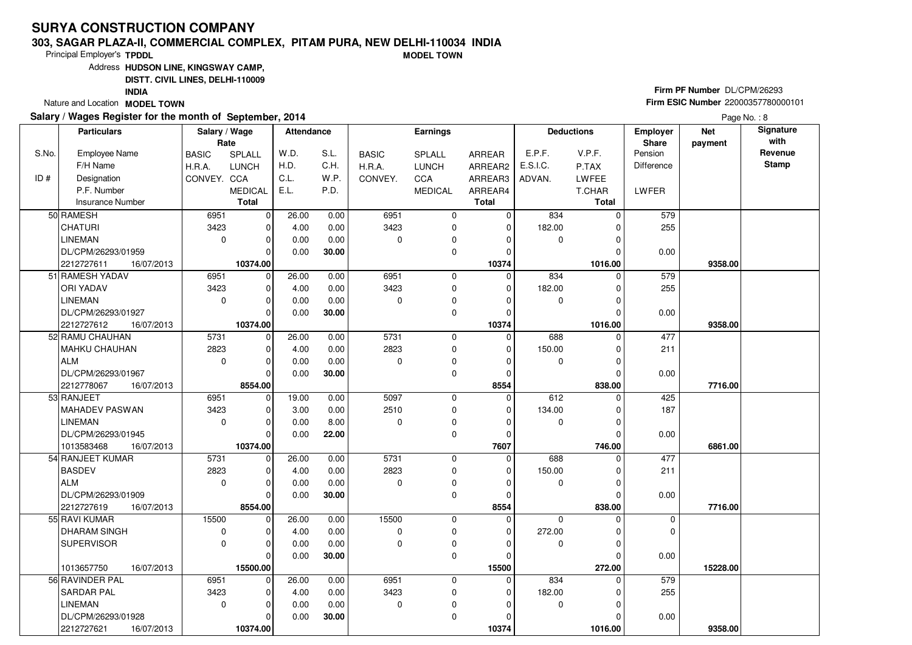### **303, SAGAR PLAZA-II, COMMERCIAL COMPLEX, PITAM PURA, NEW DELHI-110034 INDIAMODEL TOWN**

Principal Employer's**TPDDL**

Address**HUDSON LINE, KINGSWAY CAMP,**

**DISTT. CIVIL LINES, DELHI-110009**

**INDIA**

Nature and Location **MODEL TOWN** 

### **Salary / Wages Register for the month of September, 2014**

# **Firm PF Number** DL/CPM/26293 **Firm ESIC Number** <sup>22000357780000101</sup>

|       | <b>Particulars</b>       | Salary / Wage<br>Rate |                | <b>Attendance</b> |       |              | Earnings       |              |             | <b>Deductions</b> | <b>Employer</b><br>Share | <b>Net</b><br>payment | Signature<br>with |
|-------|--------------------------|-----------------------|----------------|-------------------|-------|--------------|----------------|--------------|-------------|-------------------|--------------------------|-----------------------|-------------------|
| S.No. | <b>Employee Name</b>     | <b>BASIC</b>          | SPLALL         | W.D.              | S.L.  | <b>BASIC</b> | SPLALL         | ARREAR       | E.P.F.      | V.P.F.            | Pension                  |                       | Revenue           |
|       | F/H Name                 | H.R.A.                | <b>LUNCH</b>   | H.D.              | C.H.  | H.R.A.       | <b>LUNCH</b>   | ARREAR2      | E.S.I.C.    | P.TAX             | <b>Difference</b>        |                       | <b>Stamp</b>      |
| ID#   | Designation              | CONVEY. CCA           |                | C.L.              | W.P.  | CONVEY.      | CCA            | ARREAR3      | ADVAN.      | LWFEE             |                          |                       |                   |
|       | P.F. Number              |                       | <b>MEDICAL</b> | E.L.              | P.D.  |              | <b>MEDICAL</b> | ARREAR4      |             | T.CHAR            | LWFER                    |                       |                   |
|       | <b>Insurance Number</b>  |                       | <b>Total</b>   |                   |       |              |                | <b>Total</b> |             | <b>Total</b>      |                          |                       |                   |
|       | 50 RAMESH                | 6951                  | $\mathbf 0$    | 26.00             | 0.00  | 6951         | 0              | $\mathbf 0$  | 834         | $\Omega$          | 579                      |                       |                   |
|       | <b>CHATURI</b>           | 3423                  | $\mathbf 0$    | 4.00              | 0.00  | 3423         | $\mathbf 0$    | $\Omega$     | 182.00      | U                 | 255                      |                       |                   |
|       | <b>LINEMAN</b>           | $\mathbf 0$           | $\mathbf 0$    | 0.00              | 0.00  | $\Omega$     | 0              | $\Omega$     | 0           |                   |                          |                       |                   |
|       | DL/CPM/26293/01959       |                       | $\Omega$       | 0.00              | 30.00 |              | $\mathbf 0$    | $\Omega$     |             |                   | 0.00                     |                       |                   |
|       | 2212727611<br>16/07/2013 |                       | 10374.00       |                   |       |              |                | 10374        |             | 1016.00           |                          | 9358.00               |                   |
|       | 51 RAMESH YADAV          | 6951                  | $\mathbf 0$    | 26.00             | 0.00  | 6951         | $\mathbf 0$    | $\Omega$     | 834         | $\Omega$          | 579                      |                       |                   |
|       | ORI YADAV                | 3423                  | $\mathbf 0$    | 4.00              | 0.00  | 3423         | 0              | 0            | 182.00      | 0                 | 255                      |                       |                   |
|       | <b>LINEMAN</b>           | $\mathbf 0$           | $\Omega$       | 0.00              | 0.00  | $\Omega$     | 0              | $\Omega$     | 0           |                   |                          |                       |                   |
|       | DL/CPM/26293/01927       |                       | $\Omega$       | 0.00              | 30.00 |              | 0              | 0            |             | $\Omega$          | 0.00                     |                       |                   |
|       | 2212727612<br>16/07/2013 |                       | 10374.00       |                   |       |              |                | 10374        |             | 1016.00           |                          | 9358.00               |                   |
|       | 52 RAMU CHAUHAN          | 5731                  | $\mathbf 0$    | 26.00             | 0.00  | 5731         | 0              | $\mathbf 0$  | 688         | $\Omega$          | 477                      |                       |                   |
|       | MAHKU CHAUHAN            | 2823                  | $\mathbf 0$    | 4.00              | 0.00  | 2823         | $\mathbf 0$    | $\mathbf 0$  | 150.00      | $\Omega$          | 211                      |                       |                   |
|       | ALM                      | $\mathbf 0$           | $\mathbf 0$    | 0.00              | 0.00  | $\Omega$     | 0              | $\Omega$     | 0           | $\Omega$          |                          |                       |                   |
|       | DL/CPM/26293/01967       |                       | $\Omega$       | 0.00              | 30.00 |              | $\mathbf 0$    | $\Omega$     |             |                   | 0.00                     |                       |                   |
|       | 2212778067<br>16/07/2013 |                       | 8554.00        |                   |       |              |                | 8554         |             | 838.00            |                          | 7716.00               |                   |
|       | 53 RANJEET               | 6951                  | $\mathbf 0$    | 19.00             | 0.00  | 5097         | 0              | $\mathbf 0$  | 612         | 0                 | 425                      |                       |                   |
|       | MAHADEV PASWAN           | 3423                  | $\Omega$       | 3.00              | 0.00  | 2510         | 0              | $\Omega$     | 134.00      |                   | 187                      |                       |                   |
|       | <b>LINEMAN</b>           | $\Omega$              | $\mathbf 0$    | 0.00              | 8.00  | $\Omega$     | 0              | $\Omega$     | 0           | U                 |                          |                       |                   |
|       | DL/CPM/26293/01945       |                       | $\Omega$       | 0.00              | 22.00 |              | $\Omega$       | $\Omega$     |             |                   | 0.00                     |                       |                   |
|       | 1013583468<br>16/07/2013 |                       | 10374.00       |                   |       |              |                | 7607         |             | 746.00            |                          | 6861.00               |                   |
|       | 54 RANJEET KUMAR         | 5731                  | $\mathbf 0$    | 26.00             | 0.00  | 5731         | $\Omega$       | $\mathbf 0$  | 688         | O                 | 477                      |                       |                   |
|       | <b>BASDEV</b>            | 2823                  | $\mathbf 0$    | 4.00              | 0.00  | 2823         | $\mathbf 0$    | $\mathbf 0$  | 150.00      |                   | 211                      |                       |                   |
|       | <b>ALM</b>               | $\Omega$              | $\mathbf 0$    | 0.00              | 0.00  | $\Omega$     | $\mathbf 0$    | $\Omega$     | 0           | $\Omega$          |                          |                       |                   |
|       | DL/CPM/26293/01909       |                       | $\mathbf 0$    | 0.00              | 30.00 |              | 0              | $\Omega$     |             |                   | 0.00                     |                       |                   |
|       | 2212727619<br>16/07/2013 |                       | 8554.00        |                   |       |              |                | 8554         |             | 838.00            |                          | 7716.00               |                   |
|       | 55 RAVI KUMAR            | 15500                 | $\mathbf 0$    | 26.00             | 0.00  | 15500        | $\mathbf 0$    | $\mathbf 0$  | $\mathbf 0$ | 0                 | 0                        |                       |                   |
|       | <b>DHARAM SINGH</b>      | $\mathbf 0$           | $\Omega$       | 4.00              | 0.00  | $\mathbf 0$  | $\mathbf 0$    | $\Omega$     | 272.00      | $\Omega$          | 0                        |                       |                   |
|       | <b>SUPERVISOR</b>        | $\Omega$              | $\mathbf 0$    | 0.00              | 0.00  | $\Omega$     | $\mathbf 0$    | $\Omega$     | 0           |                   |                          |                       |                   |
|       |                          |                       | $\Omega$       | 0.00              | 30.00 |              | $\mathbf 0$    | $\Omega$     |             | O                 | 0.00                     |                       |                   |
|       | 16/07/2013<br>1013657750 |                       | 15500.00       |                   |       |              |                | 15500        |             | 272.00            |                          | 15228.00              |                   |
|       | 56 RAVINDER PAL          | 6951                  | $\mathbf 0$    | 26.00             | 0.00  | 6951         | $\mathbf 0$    | $\Omega$     | 834         | 0                 | 579                      |                       |                   |
|       | <b>SARDAR PAL</b>        | 3423                  | $\Omega$       | 4.00              | 0.00  | 3423         | 0              | 0            | 182.00      |                   | 255                      |                       |                   |
|       | <b>LINEMAN</b>           | $\mathbf 0$           | $\mathbf 0$    | 0.00              | 0.00  | $\mathbf 0$  | 0              | $\Omega$     | 0           | O                 |                          |                       |                   |
|       | DL/CPM/26293/01928       |                       | 0              | 0.00              | 30.00 |              | 0              | $\Omega$     |             |                   | 0.00                     |                       |                   |
|       | 2212727621<br>16/07/2013 |                       | 10374.00       |                   |       |              |                | 10374        |             | 1016.00           |                          | 9358.00               |                   |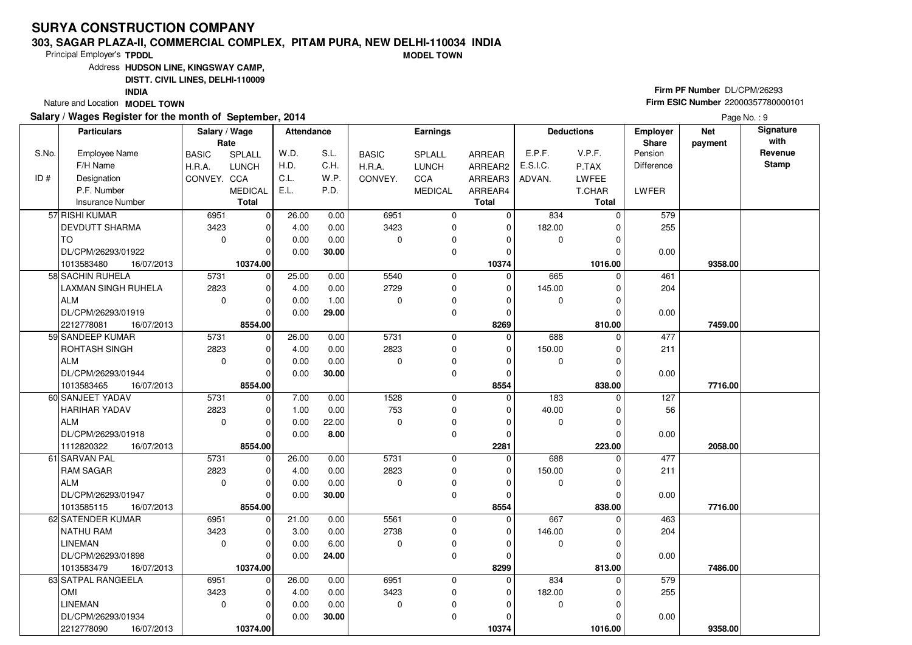### **303, SAGAR PLAZA-II, COMMERCIAL COMPLEX, PITAM PURA, NEW DELHI-110034 INDIAMODEL TOWN**

Principal Employer's**TPDDL**

Address**HUDSON LINE, KINGSWAY CAMP,**

**DISTT. CIVIL LINES, DELHI-110009**

**INDIA**

Nature and Location **MODEL TOWN** 

### **Salary / Wages Register for the month of September, 2014**

# **Firm PF Number** DL/CPM/26293 **Firm ESIC Number** <sup>22000357780000101</sup>

|       | <b>Particulars</b>         | Salary / Wage<br>Rate |                | Attendance |       |              | <b>Earnings</b> |              |             | <b>Deductions</b> | <b>Employer</b><br>Share | <b>Net</b><br>payment | Signature<br>with |
|-------|----------------------------|-----------------------|----------------|------------|-------|--------------|-----------------|--------------|-------------|-------------------|--------------------------|-----------------------|-------------------|
| S.No. | <b>Employee Name</b>       | <b>BASIC</b>          | SPLALL         | W.D.       | S.L.  | <b>BASIC</b> | <b>SPLALL</b>   | ARREAR       | E.P.F.      | V.P.F.            | Pension                  |                       | Revenue           |
|       | F/H Name                   | H.R.A.                | <b>LUNCH</b>   | H.D.       | C.H.  | H.R.A.       | <b>LUNCH</b>    | ARREAR2      | E.S.I.C.    | P.TAX             | <b>Difference</b>        |                       | <b>Stamp</b>      |
| ID#   | Designation                | CONVEY. CCA           |                | C.L.       | W.P.  | CONVEY.      | CCA             | ARREAR3      | ADVAN.      | LWFEE             |                          |                       |                   |
|       | P.F. Number                |                       | <b>MEDICAL</b> | E.L.       | P.D.  |              | <b>MEDICAL</b>  | ARREAR4      |             | T.CHAR            | LWFER                    |                       |                   |
|       | Insurance Number           |                       | <b>Total</b>   |            |       |              |                 | <b>Total</b> |             | <b>Total</b>      |                          |                       |                   |
|       | 57 RISHI KUMAR             | 6951                  | $\mathbf 0$    | 26.00      | 0.00  | 6951         | $\mathbf 0$     | 0            | 834         | $\Omega$          | 579                      |                       |                   |
|       | <b>DEVDUTT SHARMA</b>      | 3423                  | $\mathbf 0$    | 4.00       | 0.00  | 3423         | 0               | $\mathbf 0$  | 182.00      |                   | 255                      |                       |                   |
|       | l TO                       | $\mathbf 0$           | $\mathbf 0$    | 0.00       | 0.00  | $\Omega$     | $\mathbf 0$     | 0            | $\mathbf 0$ |                   |                          |                       |                   |
|       | DL/CPM/26293/01922         |                       | $\Omega$       | 0.00       | 30.00 |              | 0               | 0            |             |                   | 0.00                     |                       |                   |
|       | 16/07/2013<br>1013583480   |                       | 10374.00       |            |       |              |                 | 10374        |             | 1016.00           |                          | 9358.00               |                   |
|       | 58 SACHIN RUHELA           | 5731                  | $\mathbf 0$    | 25.00      | 0.00  | 5540         | 0               | $\Omega$     | 665         | 0                 | 461                      |                       |                   |
|       | <b>LAXMAN SINGH RUHELA</b> | 2823                  | $\mathbf 0$    | 4.00       | 0.00  | 2729         | 0               | $\mathbf 0$  | 145.00      | $\Omega$          | 204                      |                       |                   |
|       | ALM                        | $\mathbf 0$           | $\mathbf 0$    | 0.00       | 1.00  | $\Omega$     | 0               | $\Omega$     | 0           | O                 |                          |                       |                   |
|       | DL/CPM/26293/01919         |                       | $\Omega$       | 0.00       | 29.00 |              | $\mathbf 0$     | $\mathbf 0$  |             | $\Omega$          | 0.00                     |                       |                   |
|       | 2212778081<br>16/07/2013   |                       | 8554.00        |            |       |              |                 | 8269         |             | 810.00            |                          | 7459.00               |                   |
|       | 59 SANDEEP KUMAR           | 5731                  | $\mathbf 0$    | 26.00      | 0.00  | 5731         | $\mathbf 0$     | $\Omega$     | 688         | $\Omega$          | 477                      |                       |                   |
|       | <b>ROHTASH SINGH</b>       | 2823                  | $\mathbf 0$    | 4.00       | 0.00  | 2823         | $\mathbf 0$     | 0            | 150.00      | 0                 | 211                      |                       |                   |
|       | ALM                        | $\mathbf 0$           | $\mathbf 0$    | 0.00       | 0.00  | $\Omega$     | 0               | $\Omega$     | 0           | $\Omega$          |                          |                       |                   |
|       | DL/CPM/26293/01944         |                       | $\Omega$       | 0.00       | 30.00 |              | 0               | $\Omega$     |             | 0                 | 0.00                     |                       |                   |
|       | 1013583465<br>16/07/2013   |                       | 8554.00        |            |       |              |                 | 8554         |             | 838.00            |                          | 7716.00               |                   |
|       | 60 SANJEET YADAV           | 5731                  | 0              | 7.00       | 0.00  | 1528         | 0               | $\mathbf 0$  | 183         | $\mathbf 0$       | 127                      |                       |                   |
|       | <b>HARIHAR YADAV</b>       | 2823                  | $\mathbf 0$    | 1.00       | 0.00  | 753          | $\mathbf 0$     | $\Omega$     | 40.00       |                   | 56                       |                       |                   |
|       | ALM                        | $\mathbf 0$           | $\mathbf 0$    | 0.00       | 22.00 | $\Omega$     | 0               | $\Omega$     | 0           | O                 |                          |                       |                   |
|       | DL/CPM/26293/01918         |                       | $\Omega$       | 0.00       | 8.00  |              | $\mathbf 0$     | $\mathbf 0$  |             |                   | 0.00                     |                       |                   |
|       | 16/07/2013<br>1112820322   |                       | 8554.00        |            |       |              |                 | 2281         |             | 223.00            |                          | 2058.00               |                   |
|       | 61 SARVAN PAL              | 5731                  | $\mathbf 0$    | 26.00      | 0.00  | 5731         | $\mathbf 0$     | $\mathbf 0$  | 688         |                   | 477                      |                       |                   |
|       | <b>RAM SAGAR</b>           | 2823                  | $\mathbf 0$    | 4.00       | 0.00  | 2823         | 0               | 0            | 150.00      |                   | 211                      |                       |                   |
|       | <b>ALM</b>                 | $\mathbf 0$           | $\mathbf 0$    | 0.00       | 0.00  | $\Omega$     | $\mathbf 0$     | $\Omega$     | 0           | $\Omega$          |                          |                       |                   |
|       | DL/CPM/26293/01947         |                       | $\mathbf 0$    | 0.00       | 30.00 |              | 0               | $\Omega$     |             |                   | 0.00                     |                       |                   |
|       | 1013585115<br>16/07/2013   |                       | 8554.00        |            |       |              |                 | 8554         |             | 838.00            |                          | 7716.00               |                   |
|       | 62 SATENDER KUMAR          | 6951                  | $\mathbf 0$    | 21.00      | 0.00  | 5561         | $\mathbf 0$     | $\mathbf 0$  | 667         | 0                 | 463                      |                       |                   |
|       | NATHU RAM                  | 3423                  | $\Omega$       | 3.00       | 0.00  | 2738         | $\mathbf 0$     | $\Omega$     | 146.00      | O                 | 204                      |                       |                   |
|       | <b>LINEMAN</b>             | $\mathbf 0$           | $\mathbf 0$    | 0.00       | 6.00  | $\Omega$     | 0               | $\Omega$     | 0           |                   |                          |                       |                   |
|       | DL/CPM/26293/01898         |                       | $\Omega$       | 0.00       | 24.00 |              | $\mathbf 0$     | $\Omega$     |             |                   | 0.00                     |                       |                   |
|       | 1013583479<br>16/07/2013   |                       | 10374.00       |            |       |              |                 | 8299         |             | 813.00            |                          | 7486.00               |                   |
|       | 63 SATPAL RANGEELA         | 6951                  | $\mathbf 0$    | 26.00      | 0.00  | 6951         | $\mathbf 0$     | $\Omega$     | 834         |                   | 579                      |                       |                   |
|       | <b>OMI</b>                 | 3423                  | $\Omega$       | 4.00       | 0.00  | 3423         | 0               | $\Omega$     | 182.00      |                   | 255                      |                       |                   |
|       | <b>LINEMAN</b>             | $\mathbf 0$           | $\mathbf 0$    | 0.00       | 0.00  | $\mathbf 0$  | 0               | $\Omega$     | 0           | $\Omega$          |                          |                       |                   |
|       | DL/CPM/26293/01934         |                       | 0              | 0.00       | 30.00 |              | 0               | $\Omega$     |             |                   | 0.00                     |                       |                   |
|       | 2212778090<br>16/07/2013   |                       | 10374.00       |            |       |              |                 | 10374        |             | 1016.00           |                          | 9358.00               |                   |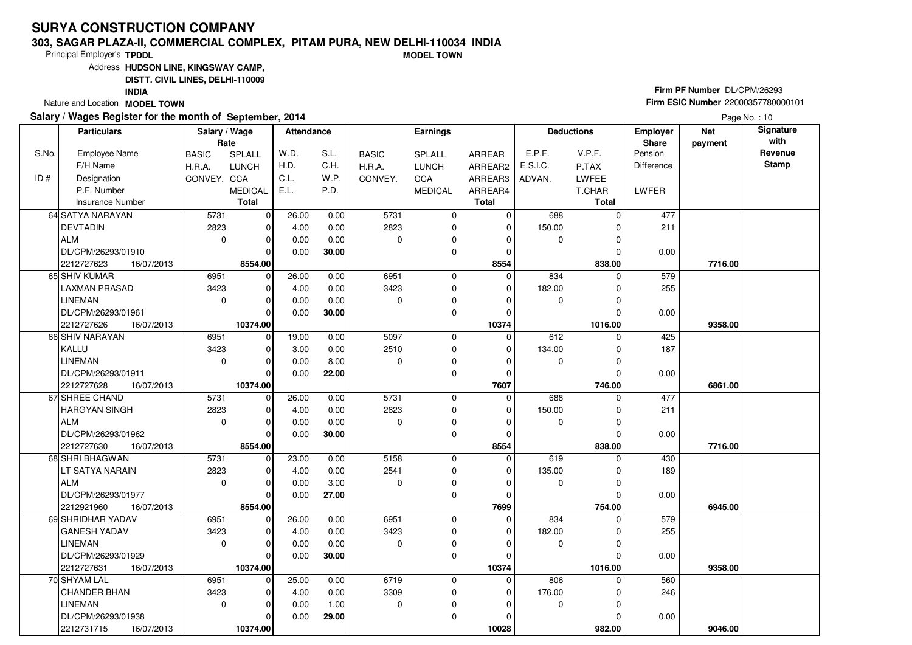### **303, SAGAR PLAZA-II, COMMERCIAL COMPLEX, PITAM PURA, NEW DELHI-110034 INDIAMODEL TOWN**

Principal Employer's**TPDDL**

Address**HUDSON LINE, KINGSWAY CAMP,**

**DISTT. CIVIL LINES, DELHI-110009**

**INDIA**

Nature and Location **MODEL TOWN** 

## **Salary / Wages Register for the month of September, 2014**

# **Firm PF Number** DL/CPM/26293 **Firm ESIC Number** <sup>22000357780000101</sup>

|       | <b>Particulars</b>       | Salary / Wage<br>Rate |                | <b>Attendance</b> |       |              | <b>Earnings</b> |              |             | <b>Deductions</b> | <b>Employer</b><br>Share | <b>Net</b><br>payment | Signature<br>with |
|-------|--------------------------|-----------------------|----------------|-------------------|-------|--------------|-----------------|--------------|-------------|-------------------|--------------------------|-----------------------|-------------------|
| S.No. | <b>Employee Name</b>     | <b>BASIC</b>          | SPLALL         | W.D.              | S.L.  | <b>BASIC</b> | SPLALL          | ARREAR       | E.P.F.      | V.P.F.            | Pension                  |                       | Revenue           |
|       | F/H Name                 | H.R.A.                | <b>LUNCH</b>   | H.D.              | C.H.  | H.R.A.       | <b>LUNCH</b>    | ARREAR2      | E.S.I.C.    | P.TAX             | Difference               |                       | <b>Stamp</b>      |
| ID#   | Designation              | CONVEY. CCA           |                | C.L.              | W.P.  | CONVEY.      | CCA             | ARREAR3      | ADVAN.      | <b>LWFEE</b>      |                          |                       |                   |
|       | P.F. Number              |                       | <b>MEDICAL</b> | E.L.              | P.D.  |              | <b>MEDICAL</b>  | ARREAR4      |             | T.CHAR            | LWFER                    |                       |                   |
|       | <b>Insurance Number</b>  |                       | <b>Total</b>   |                   |       |              |                 | <b>Total</b> |             | <b>Total</b>      |                          |                       |                   |
|       | 64 SATYA NARAYAN         | 5731                  | $\mathbf 0$    | 26.00             | 0.00  | 5731         | 0               | $\mathbf 0$  | 688         | 0                 | 477                      |                       |                   |
|       | <b>DEVTADIN</b>          | 2823                  | $\mathbf 0$    | 4.00              | 0.00  | 2823         | 0               | $\mathbf 0$  | 150.00      | $\Omega$          | 211                      |                       |                   |
|       | ALM                      | $\mathbf 0$           | $\mathbf 0$    | 0.00              | 0.00  | $\Omega$     | 0               | $\Omega$     | 0           | O                 |                          |                       |                   |
|       | DL/CPM/26293/01910       |                       | $\Omega$       | 0.00              | 30.00 |              | $\mathbf 0$     | $\mathbf 0$  |             | 0                 | 0.00                     |                       |                   |
|       | 2212727623<br>16/07/2013 |                       | 8554.00        |                   |       |              |                 | 8554         |             | 838.00            |                          | 7716.00               |                   |
|       | 65 SHIV KUMAR            | 6951                  | 0              | 26.00             | 0.00  | 6951         | $\mathbf 0$     | $\Omega$     | 834         | $\Omega$          | 579                      |                       |                   |
|       | <b>LAXMAN PRASAD</b>     | 3423                  | $\mathbf 0$    | 4.00              | 0.00  | 3423         | $\mathbf 0$     | 0            | 182.00      | $\Omega$          | 255                      |                       |                   |
|       | LINEMAN                  | $\mathbf 0$           | $\Omega$       | 0.00              | 0.00  | $\Omega$     | 0               | 0            | 0           |                   |                          |                       |                   |
|       | DL/CPM/26293/01961       |                       | $\Omega$       | 0.00              | 30.00 |              | $\mathbf 0$     | $\Omega$     |             | $\Omega$          | 0.00                     |                       |                   |
|       | 2212727626<br>16/07/2013 |                       | 10374.00       |                   |       |              |                 | 10374        |             | 1016.00           |                          | 9358.00               |                   |
|       | 66 SHIV NARAYAN          | 6951                  | $\mathbf 0$    | 19.00             | 0.00  | 5097         | $\mathbf 0$     | $\mathbf 0$  | 612         | $\Omega$          | 425                      |                       |                   |
|       | KALLU                    | 3423                  | $\mathbf 0$    | 3.00              | 0.00  | 2510         | 0               | 0            | 134.00      |                   | 187                      |                       |                   |
|       | LINEMAN                  | $\mathbf 0$           | $\Omega$       | 0.00              | 8.00  | $\Omega$     | $\mathbf 0$     | $\Omega$     | $\mathbf 0$ | $\Omega$          |                          |                       |                   |
|       | DL/CPM/26293/01911       |                       | $\Omega$       | 0.00              | 22.00 |              | $\mathbf 0$     | $\mathbf 0$  |             |                   | 0.00                     |                       |                   |
|       | 2212727628<br>16/07/2013 |                       | 10374.00       |                   |       |              |                 | 7607         |             | 746.00            |                          | 6861.00               |                   |
|       | 67 SHREE CHAND           | 5731                  | $\mathbf 0$    | 26.00             | 0.00  | 5731         | $\mathbf 0$     | $\mathbf 0$  | 688         | $\Omega$          | 477                      |                       |                   |
|       | <b>HARGYAN SINGH</b>     | 2823                  | $\mathbf 0$    | 4.00              | 0.00  | 2823         | 0               | 0            | 150.00      |                   | 211                      |                       |                   |
|       | ALM                      | $\Omega$              | $\Omega$       | 0.00              | 0.00  | $\Omega$     | 0               | $\Omega$     | $\mathbf 0$ | U                 |                          |                       |                   |
|       | DL/CPM/26293/01962       |                       | $\Omega$       | 0.00              | 30.00 |              | $\mathbf 0$     | $\mathbf 0$  |             |                   | 0.00                     |                       |                   |
|       | 2212727630<br>16/07/2013 |                       | 8554.00        |                   |       |              |                 | 8554         |             | 838.00            |                          | 7716.00               |                   |
|       | 68 SHRI BHAGWAN          | 5731                  | $\mathbf 0$    | 23.00             | 0.00  | 5158         | $\mathbf 0$     | $\mathbf 0$  | 619         |                   | 430                      |                       |                   |
|       | LT SATYA NARAIN          | 2823                  | $\Omega$       | 4.00              | 0.00  | 2541         | $\mathbf 0$     | $\Omega$     | 135.00      |                   | 189                      |                       |                   |
|       | ALM                      | $\mathbf 0$           | $\mathbf 0$    | 0.00              | 3.00  | $\Omega$     | $\mathbf 0$     | $\mathbf 0$  | 0           | $\Omega$          |                          |                       |                   |
|       | DL/CPM/26293/01977       |                       | $\mathbf 0$    | 0.00              | 27.00 |              | $\mathbf 0$     | 0            |             |                   | 0.00                     |                       |                   |
|       | 2212921960<br>16/07/2013 |                       | 8554.00        |                   |       |              |                 | 7699         |             | 754.00            |                          | 6945.00               |                   |
|       | 69 SHRIDHAR YADAV        | 6951                  | $\mathbf 0$    | 26.00             | 0.00  | 6951         | $\mathbf 0$     | $\Omega$     | 834         | $\Omega$          | 579                      |                       |                   |
|       | <b>GANESH YADAV</b>      | 3423                  | $\Omega$       | 4.00              | 0.00  | 3423         | $\mathbf 0$     | $\Omega$     | 182.00      | U                 | 255                      |                       |                   |
|       | <b>LINEMAN</b>           | $\Omega$              | $\mathbf 0$    | 0.00              | 0.00  | $\Omega$     | $\mathbf 0$     | $\Omega$     | 0           |                   |                          |                       |                   |
|       | DL/CPM/26293/01929       |                       | $\Omega$       | 0.00              | 30.00 |              | $\mathbf 0$     | 0            |             |                   | 0.00                     |                       |                   |
|       | 2212727631<br>16/07/2013 |                       | 10374.00       |                   |       |              |                 | 10374        |             | 1016.00           |                          | 9358.00               |                   |
|       | 70 SHYAM LAL             | 6951                  | $\mathbf 0$    | 25.00             | 0.00  | 6719         | $\mathbf 0$     | $\Omega$     | 806         | 0                 | 560                      |                       |                   |
|       | <b>CHANDER BHAN</b>      | 3423                  | $\Omega$       | 4.00              | 0.00  | 3309         | $\mathbf 0$     | 0            | 176.00      |                   | 246                      |                       |                   |
|       | <b>LINEMAN</b>           | $\mathbf 0$           | $\mathbf 0$    | 0.00              | 1.00  | $\mathbf 0$  | 0               | $\Omega$     | 0           | O                 |                          |                       |                   |
|       | DL/CPM/26293/01938       |                       | 0              | 0.00              | 29.00 |              | $\mathbf 0$     | 0            |             |                   | 0.00                     |                       |                   |
|       | 2212731715<br>16/07/2013 |                       | 10374.00       |                   |       |              |                 | 10028        |             | 982.00            |                          | 9046.00               |                   |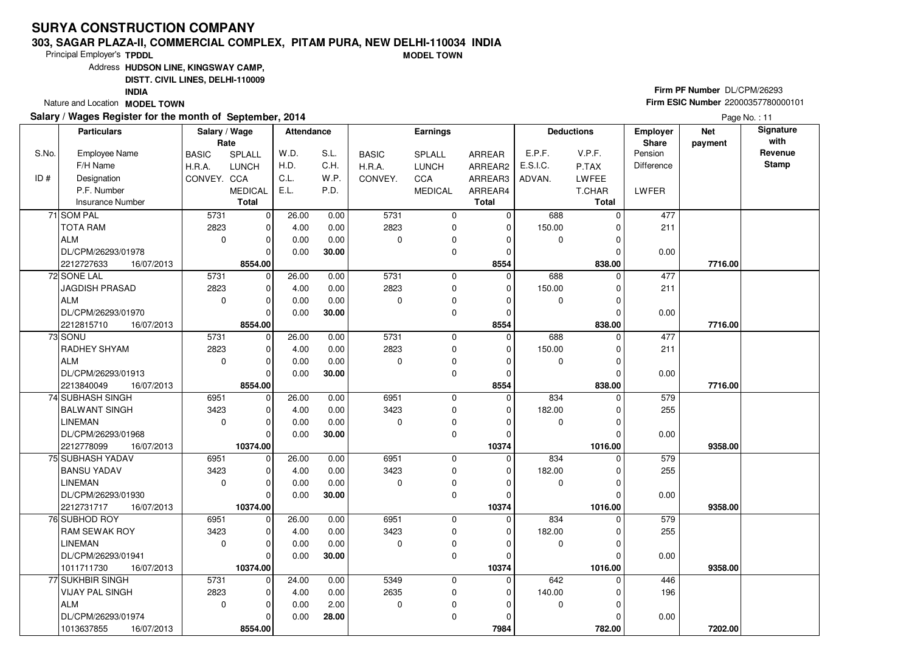### **303, SAGAR PLAZA-II, COMMERCIAL COMPLEX, PITAM PURA, NEW DELHI-110034 INDIAMODEL TOWN**

Principal Employer's**TPDDL**

Address**HUDSON LINE, KINGSWAY CAMP,**

**DISTT. CIVIL LINES, DELHI-110009**

**INDIA**

Nature and Location **MODEL TOWN** 

## **Salary / Wages Register for the month of September, 2014**

# **Firm PF Number** DL/CPM/26293 **Firm ESIC Number** <sup>22000357780000101</sup>

|       | <b>Particulars</b>       | Salary / Wage<br>Rate |                | Attendance |       |              | Earnings       |                |             | <b>Deductions</b> | <b>Employer</b><br>Share | <b>Net</b><br>payment | Signature<br>with |
|-------|--------------------------|-----------------------|----------------|------------|-------|--------------|----------------|----------------|-------------|-------------------|--------------------------|-----------------------|-------------------|
| S.No. | <b>Employee Name</b>     | <b>BASIC</b>          | SPLALL         | W.D.       | S.L.  | <b>BASIC</b> | <b>SPLALL</b>  | <b>ARREAR</b>  | E.P.F.      | V.P.F.            | Pension                  |                       | Revenue           |
|       | F/H Name                 | H.R.A.                | <b>LUNCH</b>   | H.D.       | C.H.  | H.R.A.       | <b>LUNCH</b>   | ARREAR2        | E.S.I.C.    | P.TAX             | <b>Difference</b>        |                       | <b>Stamp</b>      |
| ID#   | Designation              | CONVEY. CCA           |                | C.L.       | W.P.  | CONVEY.      | CCA            | ARREAR3        | ADVAN.      | <b>LWFEE</b>      |                          |                       |                   |
|       | P.F. Number              |                       | <b>MEDICAL</b> | E.L.       | P.D.  |              | <b>MEDICAL</b> | ARREAR4        |             | T.CHAR            | <b>LWFER</b>             |                       |                   |
|       | <b>Insurance Number</b>  |                       | Total          |            |       |              |                | Total          |             | Total             |                          |                       |                   |
|       | 71 SOM PAL               | 5731                  | $\mathbf 0$    | 26.00      | 0.00  | 5731         | 0              | 0              | 688         | $\Omega$          | 477                      |                       |                   |
|       | <b>TOTA RAM</b>          | 2823                  | $\mathbf 0$    | 4.00       | 0.00  | 2823         | 0              | $\Omega$       | 150.00      |                   | 211                      |                       |                   |
|       | ALM                      | $\mathbf 0$           | $\mathbf 0$    | 0.00       | 0.00  | $\Omega$     | 0              | 0              | 0           |                   |                          |                       |                   |
|       | DL/CPM/26293/01978       |                       | $\Omega$       | 0.00       | 30.00 |              | 0              | 0              |             |                   | 0.00                     |                       |                   |
|       | 2212727633<br>16/07/2013 |                       | 8554.00        |            |       |              |                | 8554           |             | 838.00            |                          | 7716.00               |                   |
|       | 72 SONE LAL              | 5731                  | $\Omega$       | 26.00      | 0.00  | 5731         | $\mathbf 0$    | $\overline{0}$ | 688         | $\Omega$          | 477                      |                       |                   |
|       | JAGDISH PRASAD           | 2823                  | 0              | 4.00       | 0.00  | 2823         | 0              | 0              | 150.00      | 0                 | 211                      |                       |                   |
|       | ALM                      | $\mathbf 0$           | $\Omega$       | 0.00       | 0.00  | $\mathbf 0$  | 0              | $\Omega$       | 0           |                   |                          |                       |                   |
|       | DL/CPM/26293/01970       |                       | $\Omega$       | 0.00       | 30.00 |              | 0              | $\Omega$       |             |                   | 0.00                     |                       |                   |
|       | 2212815710<br>16/07/2013 |                       | 8554.00        |            |       |              |                | 8554           |             | 838.00            |                          | 7716.00               |                   |
|       | 73 SONU                  | 5731                  | $\mathbf 0$    | 26.00      | 0.00  | 5731         | 0              | $\Omega$       | 688         |                   | 477                      |                       |                   |
|       | <b>RADHEY SHYAM</b>      | 2823                  | $\mathbf 0$    | 4.00       | 0.00  | 2823         | 0              | 0              | 150.00      | 0                 | 211                      |                       |                   |
|       | ALM                      | $\Omega$              | $\mathbf 0$    | 0.00       | 0.00  | $\Omega$     | 0              | $\Omega$       | 0           |                   |                          |                       |                   |
|       | DL/CPM/26293/01913       |                       | $\Omega$       | 0.00       | 30.00 |              | 0              | 0              |             |                   | 0.00                     |                       |                   |
|       | 16/07/2013<br>2213840049 |                       | 8554.00        |            |       |              |                | 8554           |             | 838.00            |                          | 7716.00               |                   |
|       | 74 SUBHASH SINGH         | 6951                  | $\mathbf 0$    | 26.00      | 0.00  | 6951         | 0              | $\Omega$       | 834         | $\Omega$          | 579                      |                       |                   |
|       | <b>BALWANT SINGH</b>     | 3423                  | $\mathbf 0$    | 4.00       | 0.00  | 3423         | 0              | 0              | 182.00      |                   | 255                      |                       |                   |
|       | <b>LINEMAN</b>           | $\mathbf 0$           | $\Omega$       | 0.00       | 0.00  | $\mathbf 0$  | $\mathbf 0$    | $\Omega$       | 0           |                   |                          |                       |                   |
|       | DL/CPM/26293/01968       |                       | $\Omega$       | 0.00       | 30.00 |              | 0              | 0              |             |                   | 0.00                     |                       |                   |
|       | 2212778099<br>16/07/2013 |                       | 10374.00       |            |       |              |                | 10374          |             | 1016.00           |                          | 9358.00               |                   |
|       | 75 SUBHASH YADAV         | 6951                  | $\mathbf 0$    | 26.00      | 0.00  | 6951         | 0              | $\mathbf 0$    | 834         | $\Omega$          | 579                      |                       |                   |
|       | <b>BANSU YADAV</b>       | 3423                  | 0              | 4.00       | 0.00  | 3423         | 0              | 0              | 182.00      | 0                 | 255                      |                       |                   |
|       | <b>LINEMAN</b>           | $\mathbf 0$           | $\Omega$       | 0.00       | 0.00  | $\Omega$     | 0              | 0              | 0           |                   |                          |                       |                   |
|       | DL/CPM/26293/01930       |                       | $\Omega$       | 0.00       | 30.00 |              | 0              | 0              |             |                   | 0.00                     |                       |                   |
|       | 2212731717<br>16/07/2013 |                       | 10374.00       |            |       |              |                | 10374          |             | 1016.00           |                          | 9358.00               |                   |
|       | 76 SUBHOD ROY            | 6951                  | $\mathbf 0$    | 26.00      | 0.00  | 6951         | 0              | $\Omega$       | 834         | $\Omega$          | 579                      |                       |                   |
|       | <b>RAM SEWAK ROY</b>     | 3423                  | $\mathbf 0$    | 4.00       | 0.00  | 3423         | 0              | $\Omega$       | 182.00      |                   | 255                      |                       |                   |
|       | LINEMAN                  | $\mathbf 0$           | $\Omega$       | 0.00       | 0.00  | $\Omega$     | 0              | $\Omega$       | 0           |                   |                          |                       |                   |
|       | DL/CPM/26293/01941       |                       | $\Omega$       | 0.00       | 30.00 |              | 0              | 0              |             |                   | 0.00                     |                       |                   |
|       | 1011711730<br>16/07/2013 |                       | 10374.00       |            |       |              |                | 10374          |             | 1016.00           |                          | 9358.00               |                   |
|       | 77 SUKHBIR SINGH         | 5731                  | $\mathbf 0$    | 24.00      | 0.00  | 5349         | 0              | $\mathbf 0$    | 642         |                   | 446                      |                       |                   |
|       | <b>VIJAY PAL SINGH</b>   | 2823                  | 0              | 4.00       | 0.00  | 2635         | 0              | 0              | 140.00      |                   | 196                      |                       |                   |
|       | ALM                      | $\Omega$              | $\Omega$       | 0.00       | 2.00  | $\mathbf 0$  | $\pmb{0}$      | 0              | $\mathbf 0$ |                   |                          |                       |                   |
|       | DL/CPM/26293/01974       |                       | $\Omega$       | 0.00       | 28.00 |              | 0              | 0              |             |                   | 0.00                     |                       |                   |
|       | 1013637855<br>16/07/2013 |                       | 8554.00        |            |       |              |                | 7984           |             | 782.00            |                          | 7202.00               |                   |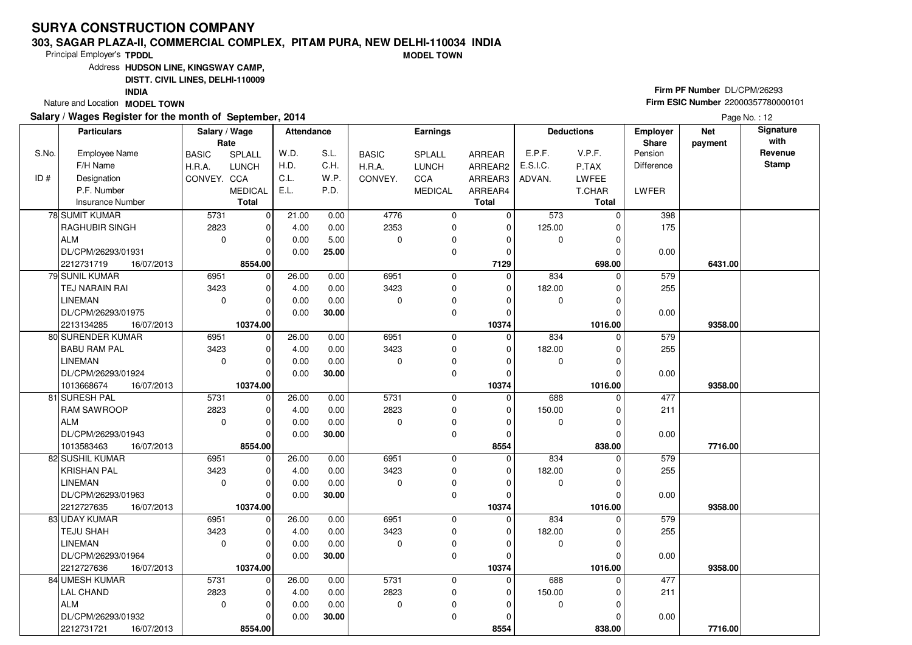### **303, SAGAR PLAZA-II, COMMERCIAL COMPLEX, PITAM PURA, NEW DELHI-110034 INDIAMODEL TOWN**

Principal Employer's**TPDDL**

Address**HUDSON LINE, KINGSWAY CAMP,**

**DISTT. CIVIL LINES, DELHI-110009**

**INDIA**

Nature and Location **MODEL TOWN** 

### **Salary / Wages Register for the month of September, 2014**

# **Firm PF Number** DL/CPM/26293 **Firm ESIC Number** <sup>22000357780000101</sup>

|       | <b>Particulars</b>       | Salary / Wage<br>Rate |                | Attendance |       |              | <b>Earnings</b> |               |          | <b>Deductions</b> | Employer<br>Share | <b>Net</b><br>payment | Signature<br>with |
|-------|--------------------------|-----------------------|----------------|------------|-------|--------------|-----------------|---------------|----------|-------------------|-------------------|-----------------------|-------------------|
| S.No. | <b>Employee Name</b>     | <b>BASIC</b>          | SPLALL         | W.D.       | S.L.  | <b>BASIC</b> | <b>SPLALL</b>   | <b>ARREAR</b> | E.P.F.   | V.P.F.            | Pension           |                       | Revenue           |
|       | F/H Name                 | H.R.A.                | <b>LUNCH</b>   | H.D.       | C.H.  | H.R.A.       | <b>LUNCH</b>    | ARREAR2       | E.S.I.C. | P.TAX             | <b>Difference</b> |                       | <b>Stamp</b>      |
| ID#   | Designation              | CONVEY. CCA           |                | C.L.       | W.P.  | CONVEY.      | CCA             | ARREAR3       | ADVAN.   | <b>LWFEE</b>      |                   |                       |                   |
|       | P.F. Number              |                       | <b>MEDICAL</b> | E.L.       | P.D.  |              | <b>MEDICAL</b>  | ARREAR4       |          | T.CHAR            | LWFER             |                       |                   |
|       | <b>Insurance Number</b>  |                       | <b>Total</b>   |            |       |              |                 | <b>Total</b>  |          | <b>Total</b>      |                   |                       |                   |
|       | <b>78 SUMIT KUMAR</b>    | 5731                  | $\mathbf 0$    | 21.00      | 0.00  | 4776         | $\mathbf 0$     | $\Omega$      | 573      | $\Omega$          | 398               |                       |                   |
|       | RAGHUBIR SINGH           | 2823                  | $\mathbf 0$    | 4.00       | 0.00  | 2353         | 0               | $\mathbf 0$   | 125.00   |                   | 175               |                       |                   |
|       | ALM                      | $\mathbf 0$           | $\mathbf 0$    | 0.00       | 5.00  | 0            | $\mathbf 0$     | 0             | 0        | 0                 |                   |                       |                   |
|       | DL/CPM/26293/01931       |                       | $\Omega$       | 0.00       | 25.00 |              | $\mathbf 0$     | $\Omega$      |          | O                 | 0.00              |                       |                   |
|       | 2212731719<br>16/07/2013 |                       | 8554.00        |            |       |              |                 | 7129          |          | 698.00            |                   | 6431.00               |                   |
|       | 79 SUNIL KUMAR           | 6951                  | $\mathbf 0$    | 26.00      | 0.00  | 6951         | $\mathbf 0$     | $\Omega$      | 834      | $\Omega$          | 579               |                       |                   |
|       | TEJ NARAIN RAI           | 3423                  | $\mathbf 0$    | 4.00       | 0.00  | 3423         | 0               | 0             | 182.00   | U                 | 255               |                       |                   |
|       | <b>LINEMAN</b>           | $\mathbf 0$           | $\mathbf 0$    | 0.00       | 0.00  | $\mathbf 0$  | $\mathbf 0$     | 0             | 0        | $\Omega$          |                   |                       |                   |
|       | DL/CPM/26293/01975       |                       | $\Omega$       | 0.00       | 30.00 |              | $\mathbf 0$     | $\Omega$      |          |                   | 0.00              |                       |                   |
|       | 2213134285<br>16/07/2013 |                       | 10374.00       |            |       |              |                 | 10374         |          | 1016.00           |                   | 9358.00               |                   |
|       | 80 SURENDER KUMAR        | 6951                  | $\mathbf 0$    | 26.00      | 0.00  | 6951         | $\mathbf 0$     | $\Omega$      | 834      | 0                 | 579               |                       |                   |
|       | <b>BABU RAM PAL</b>      | 3423                  | 0              | 4.00       | 0.00  | 3423         | 0               | 0             | 182.00   | 0                 | 255               |                       |                   |
|       | <b>LINEMAN</b>           | $\mathbf 0$           | $\mathbf 0$    | 0.00       | 0.00  | $\Omega$     | 0               | $\Omega$      | 0        |                   |                   |                       |                   |
|       | DL/CPM/26293/01924       |                       | $\Omega$       | 0.00       | 30.00 |              | $\mathbf 0$     | $\Omega$      |          |                   | 0.00              |                       |                   |
|       | 1013668674<br>16/07/2013 |                       | 10374.00       |            |       |              |                 | 10374         |          | 1016.00           |                   | 9358.00               |                   |
|       | 81 SURESH PAL            | 5731                  | $\mathbf 0$    | 26.00      | 0.00  | 5731         | 0               | $\Omega$      | 688      | $\Omega$          | 477               |                       |                   |
|       | <b>RAM SAWROOP</b>       | 2823                  | $\mathbf 0$    | 4.00       | 0.00  | 2823         | $\mathbf 0$     | 0             | 150.00   | $\Omega$          | 211               |                       |                   |
|       | ALM                      | $\mathbf 0$           | $\mathbf 0$    | 0.00       | 0.00  | $\Omega$     | 0               | $\Omega$      | 0        | 0                 |                   |                       |                   |
|       | DL/CPM/26293/01943       |                       | $\Omega$       | 0.00       | 30.00 |              | $\mathbf 0$     | $\Omega$      |          | $\Omega$          | 0.00              |                       |                   |
|       | 1013583463<br>16/07/2013 |                       | 8554.00        |            |       |              |                 | 8554          |          | 838.00            |                   | 7716.00               |                   |
|       | 82 SUSHIL KUMAR          | 6951                  | $\mathbf 0$    | 26.00      | 0.00  | 6951         | 0               | $\Omega$      | 834      | 0                 | 579               |                       |                   |
|       | <b>KRISHAN PAL</b>       | 3423                  | $\mathbf 0$    | 4.00       | 0.00  | 3423         | 0               | 0             | 182.00   | O                 | 255               |                       |                   |
|       | <b>LINEMAN</b>           | $\mathbf 0$           | $\mathbf 0$    | 0.00       | 0.00  | $\Omega$     | 0               | 0             | 0        | $\Omega$          |                   |                       |                   |
|       | DL/CPM/26293/01963       |                       | $\Omega$       | 0.00       | 30.00 |              | $\mathbf 0$     | $\mathbf 0$   |          |                   | 0.00              |                       |                   |
|       | 2212727635<br>16/07/2013 |                       | 10374.00       |            |       |              |                 | 10374         |          | 1016.00           |                   | 9358.00               |                   |
|       | 83 UDAY KUMAR            | 6951                  | 0              | 26.00      | 0.00  | 6951         | 0               | $\mathbf 0$   | 834      | $\Omega$          | 579               |                       |                   |
|       | <b>TEJU SHAH</b>         | 3423                  | $\mathbf 0$    | 4.00       | 0.00  | 3423         | $\mathbf 0$     | $\mathbf 0$   | 182.00   |                   | 255               |                       |                   |
|       | <b>LINEMAN</b>           | $\mathbf 0$           | $\mathbf 0$    | 0.00       | 0.00  | $\Omega$     | 0               | $\Omega$      | 0        | U                 |                   |                       |                   |
|       | DL/CPM/26293/01964       |                       | $\Omega$       | 0.00       | 30.00 |              | $\mathbf 0$     | $\Omega$      |          |                   | 0.00              |                       |                   |
|       | 2212727636<br>16/07/2013 |                       | 10374.00       |            |       |              |                 | 10374         |          | 1016.00           |                   | 9358.00               |                   |
|       | 84 UMESH KUMAR           | 5731                  | $\mathbf 0$    | 26.00      | 0.00  | 5731         | 0               | 0             | 688      | 0                 | 477               |                       |                   |
|       | <b>LAL CHAND</b>         | 2823                  | $\Omega$       | 4.00       | 0.00  | 2823         | 0               | $\mathbf 0$   | 150.00   |                   | 211               |                       |                   |
|       | ALM                      | $\mathbf 0$           | $\Omega$       | 0.00       | 0.00  | $\mathbf 0$  | 0               | $\Omega$      | 0        |                   |                   |                       |                   |
|       | DL/CPM/26293/01932       |                       | $\Omega$       | 0.00       | 30.00 |              | $\mathbf 0$     | $\Omega$      |          |                   | 0.00              |                       |                   |
|       | 2212731721<br>16/07/2013 |                       | 8554.00        |            |       |              |                 | 8554          |          | 838.00            |                   | 7716.00               |                   |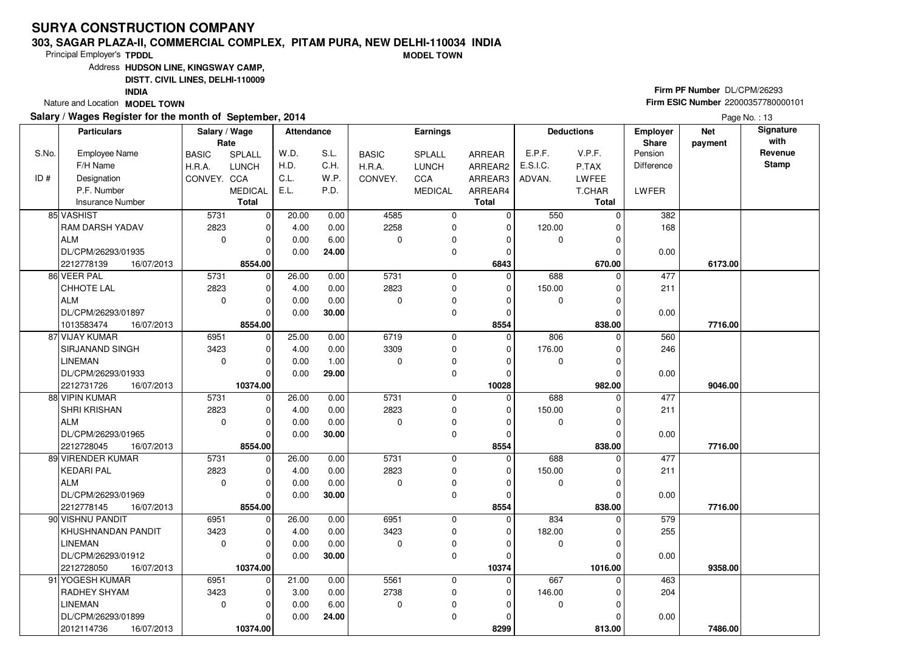### **303, SAGAR PLAZA-II, COMMERCIAL COMPLEX, PITAM PURA, NEW DELHI-110034 INDIAMODEL TOWN**

Principal Employer's**TPDDL**

Address**HUDSON LINE, KINGSWAY CAMP,**

**DISTT. CIVIL LINES, DELHI-110009**

**INDIA**

Nature and Location **MODEL TOWN** 

## **Salary / Wages Register for the month of September, 2014**

# **Firm PF Number** DL/CPM/26293 **Firm ESIC Number** <sup>22000357780000101</sup>

|       | <b>Particulars</b>       | Salary / Wage<br>Rate |                | <b>Attendance</b> |       | Earnings     |                |              | <b>Deductions</b> |              | <b>Employer</b><br>Share | <b>Net</b><br>payment | Signature<br>with |
|-------|--------------------------|-----------------------|----------------|-------------------|-------|--------------|----------------|--------------|-------------------|--------------|--------------------------|-----------------------|-------------------|
| S.No. | <b>Employee Name</b>     | <b>BASIC</b>          | SPLALL         | W.D.              | S.L.  | <b>BASIC</b> | SPLALL         | ARREAR       | E.P.F.            | V.P.F.       | Pension                  |                       | Revenue           |
|       | F/H Name                 | H.R.A.                | <b>LUNCH</b>   | H.D.              | C.H.  | H.R.A.       | <b>LUNCH</b>   | ARREAR2      | E.S.I.C.          | P.TAX        | <b>Difference</b>        |                       | <b>Stamp</b>      |
| ID#   | Designation              | CONVEY. CCA           |                | C.L.              | W.P.  | CONVEY.      | CCA            | ARREAR3      | ADVAN.            | LWFEE        |                          |                       |                   |
|       | P.F. Number              |                       | <b>MEDICAL</b> | E.L.              | P.D.  |              | <b>MEDICAL</b> | ARREAR4      |                   | T.CHAR       | LWFER                    |                       |                   |
|       | <b>Insurance Number</b>  |                       | <b>Total</b>   |                   |       |              |                | <b>Total</b> |                   | <b>Total</b> |                          |                       |                   |
|       | 85 VASHIST               | 5731                  | $\mathbf 0$    | 20.00             | 0.00  | 4585         | 0              | $\mathbf 0$  | 550               | $\Omega$     | 382                      |                       |                   |
|       | <b>RAM DARSH YADAV</b>   | 2823                  | $\mathbf 0$    | 4.00              | 0.00  | 2258         | $\mathbf 0$    | 0            | 120.00            | U            | 168                      |                       |                   |
|       | <b>ALM</b>               | $\mathbf 0$           | $\mathbf 0$    | 0.00              | 6.00  | $\Omega$     | 0              | $\Omega$     | 0                 |              |                          |                       |                   |
|       | DL/CPM/26293/01935       |                       | $\Omega$       | 0.00              | 24.00 |              | $\mathbf 0$    | $\Omega$     |                   | ŋ            | 0.00                     |                       |                   |
|       | 2212778139<br>16/07/2013 |                       | 8554.00        |                   |       |              |                | 6843         |                   | 670.00       |                          | 6173.00               |                   |
|       | 86 VEER PAL              | 5731                  | $\mathbf 0$    | 26.00             | 0.00  | 5731         | $\mathbf 0$    | $\Omega$     | 688               | $\Omega$     | 477                      |                       |                   |
|       | CHHOTE LAL               | 2823                  | $\mathbf 0$    | 4.00              | 0.00  | 2823         | 0              | 0            | 150.00            | 0            | 211                      |                       |                   |
|       | ALM                      | $\mathbf 0$           | $\mathbf 0$    | 0.00              | 0.00  | $\Omega$     | $\mathbf 0$    | $\Omega$     | 0                 | O            |                          |                       |                   |
|       | DL/CPM/26293/01897       |                       | $\Omega$       | 0.00              | 30.00 |              | 0              | 0            |                   | 0            | 0.00                     |                       |                   |
|       | 16/07/2013<br>1013583474 |                       | 8554.00        |                   |       |              |                | 8554         |                   | 838.00       |                          | 7716.00               |                   |
|       | 87 VIJAY KUMAR           | 6951                  | $\mathbf 0$    | 25.00             | 0.00  | 6719         | 0              | $\mathbf 0$  | 806               | $\Omega$     | 560                      |                       |                   |
|       | <b>SIRJANAND SINGH</b>   | 3423                  | $\mathbf 0$    | 4.00              | 0.00  | 3309         | $\mathbf 0$    | $\mathbf 0$  | 176.00            | $\Omega$     | 246                      |                       |                   |
|       | <b>LINEMAN</b>           | $\mathbf 0$           | $\mathbf 0$    | 0.00              | 1.00  | $\Omega$     | 0              | $\Omega$     | 0                 | $\Omega$     |                          |                       |                   |
|       | DL/CPM/26293/01933       |                       | $\Omega$       | 0.00              | 29.00 |              | $\mathbf 0$    | $\mathbf 0$  |                   |              | 0.00                     |                       |                   |
|       | 2212731726<br>16/07/2013 |                       | 10374.00       |                   |       |              |                | 10028        |                   | 982.00       |                          | 9046.00               |                   |
|       | 88 VIPIN KUMAR           | 5731                  | $\mathbf 0$    | 26.00             | 0.00  | 5731         | 0              | $\mathbf 0$  | 688               | 0            | 477                      |                       |                   |
|       | <b>SHRI KRISHAN</b>      | 2823                  | $\Omega$       | 4.00              | 0.00  | 2823         | 0              | $\Omega$     | 150.00            |              | 211                      |                       |                   |
|       | <b>ALM</b>               | $\Omega$              | $\mathbf 0$    | 0.00              | 0.00  | $\Omega$     | 0              | $\Omega$     | 0                 | O            |                          |                       |                   |
|       | DL/CPM/26293/01965       |                       | $\Omega$       | 0.00              | 30.00 |              | $\Omega$       | $\Omega$     |                   |              | 0.00                     |                       |                   |
|       | 2212728045<br>16/07/2013 |                       | 8554.00        |                   |       |              |                | 8554         |                   | 838.00       |                          | 7716.00               |                   |
|       | 89 VIRENDER KUMAR        | 5731                  | $\mathbf 0$    | 26.00             | 0.00  | 5731         | $\Omega$       | $\mathbf 0$  | 688               | O            | 477                      |                       |                   |
|       | KEDARI PAL               | 2823                  | $\mathbf 0$    | 4.00              | 0.00  | 2823         | $\mathbf 0$    | $\mathbf 0$  | 150.00            |              | 211                      |                       |                   |
|       | <b>ALM</b>               | $\Omega$              | $\mathbf 0$    | 0.00              | 0.00  | $\Omega$     | $\mathbf 0$    | $\Omega$     | 0                 | $\Omega$     |                          |                       |                   |
|       | DL/CPM/26293/01969       |                       | $\mathbf 0$    | 0.00              | 30.00 |              | 0              | 0            |                   |              | 0.00                     |                       |                   |
|       | 2212778145<br>16/07/2013 |                       | 8554.00        |                   |       |              |                | 8554         |                   | 838.00       |                          | 7716.00               |                   |
|       | 90 VISHNU PANDIT         | 6951                  | $\mathbf 0$    | 26.00             | 0.00  | 6951         | $\mathbf 0$    | $\Omega$     | 834               | $\Omega$     | 579                      |                       |                   |
|       | KHUSHNANDAN PANDIT       | 3423                  | $\Omega$       | 4.00              | 0.00  | 3423         | $\mathbf 0$    | $\Omega$     | 182.00            | U            | 255                      |                       |                   |
|       | <b>LINEMAN</b>           | $\Omega$              | $\mathbf 0$    | 0.00              | 0.00  | $\Omega$     | 0              | $\Omega$     | 0                 |              |                          |                       |                   |
|       | DL/CPM/26293/01912       |                       | $\Omega$       | 0.00              | 30.00 |              | $\mathbf 0$    | $\Omega$     |                   |              | 0.00                     |                       |                   |
|       | 2212728050<br>16/07/2013 |                       | 10374.00       |                   |       |              |                | 10374        |                   | 1016.00      |                          | 9358.00               |                   |
|       | 91 YOGESH KUMAR          | 6951                  | $\mathbf 0$    | 21.00             | 0.00  | 5561         | $\mathbf 0$    | $\Omega$     | 667               | 0            | 463                      |                       |                   |
|       | RADHEY SHYAM             | 3423                  | $\Omega$       | 3.00              | 0.00  | 2738         | 0              | 0            | 146.00            |              | 204                      |                       |                   |
|       | <b>LINEMAN</b>           | $\mathbf 0$           | $\mathbf 0$    | 0.00              | 6.00  | $\mathbf 0$  | 0              | $\Omega$     | 0                 | O            |                          |                       |                   |
|       | DL/CPM/26293/01899       |                       | 0              | 0.00              | 24.00 |              | 0              | $\Omega$     |                   |              | 0.00                     |                       |                   |
|       | 2012114736<br>16/07/2013 |                       | 10374.00       |                   |       |              |                | 8299         |                   | 813.00       |                          | 7486.00               |                   |